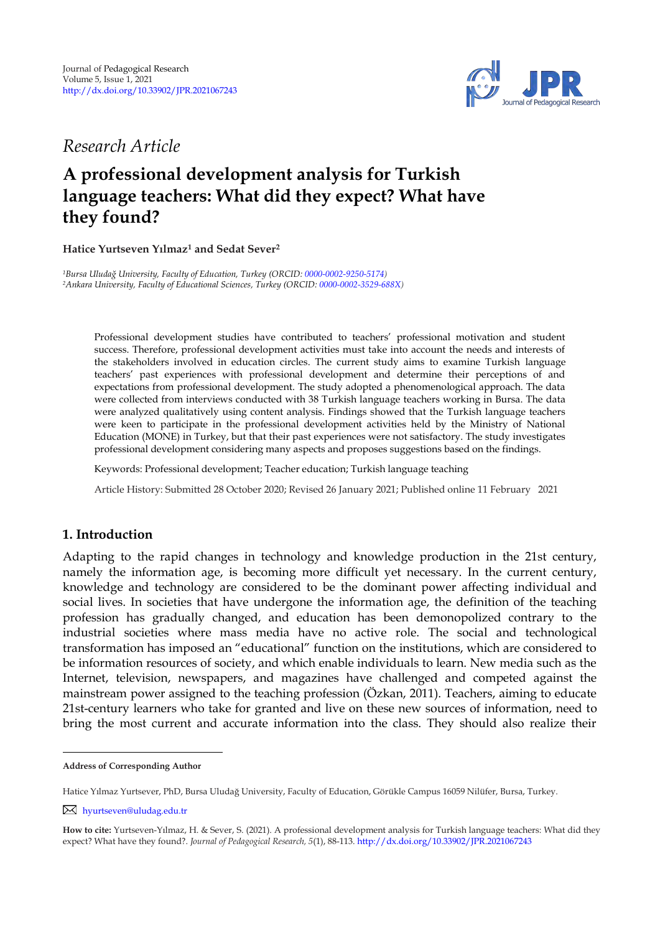

## *Research Article*

# **A professional development analysis for Turkish language teachers: What did they expect? What have they found?**

#### **Hatice Yurtseven Yılmaz<sup>1</sup> and Sedat Sever<sup>2</sup> <sup>1</sup>**

*<sup>1</sup>Bursa Uludağ University, Faculty of Education, Turkey (ORCID: [0000-0002-9250-5174\)](https://orcid.org/0000-0002-9250-5174) <sup>2</sup>Ankara University, Faculty of Educational Sciences, Turkey (ORCID[: 0000-0002-3529-688X\)](https://orcid.org/0000-0002-3529-688X)*

Professional development studies have contributed to teachers" professional motivation and student success. Therefore, professional development activities must take into account the needs and interests of the stakeholders involved in education circles. The current study aims to examine Turkish language teachers" past experiences with professional development and determine their perceptions of and expectations from professional development. The study adopted a phenomenological approach. The data were collected from interviews conducted with 38 Turkish language teachers working in Bursa. The data were analyzed qualitatively using content analysis. Findings showed that the Turkish language teachers were keen to participate in the professional development activities held by the Ministry of National Education (MONE) in Turkey, but that their past experiences were not satisfactory. The study investigates professional development considering many aspects and proposes suggestions based on the findings.

Keywords: Professional development; Teacher education; Turkish language teaching

Article History: Submitted 28 October 2020; Revised 26 January 2021; Published online 11 February 2021

## **1. Introduction**

Adapting to the rapid changes in technology and knowledge production in the 21st century, namely the information age, is becoming more difficult yet necessary. In the current century, knowledge and technology are considered to be the dominant power affecting individual and social lives. In societies that have undergone the information age, the definition of the teaching profession has gradually changed, and education has been demonopolized contrary to the industrial societies where mass media have no active role. The social and technological transformation has imposed an "educational" function on the institutions, which are considered to be information resources of society, and which enable individuals to learn. New media such as the Internet, television, newspapers, and magazines have challenged and competed against the mainstream power assigned to the teaching profession (Özkan, 2011). Teachers, aiming to educate 21st-century learners who take for granted and live on these new sources of information, need to bring the most current and accurate information into the class. They should also realize their

**Address of Corresponding Author**

Hatice Yılmaz Yurtsever, PhD, Bursa Uludağ University, Faculty of Education, Görükle Campus 16059 Nilüfer, Bursa, Turkey.

[hyurtseven@uludag.edu.tr](mailto:hyurtseven@uludag.edu.tr)

**How to cite:** Yurtseven-Yılmaz, H. & Sever, S. (2021). A professional development analysis for Turkish language teachers: What did they expect? What have they found?. *Journal of Pedagogical Research, 5*(1), 88-113. <http://dx.doi.org/10.33902/JPR.2021067243>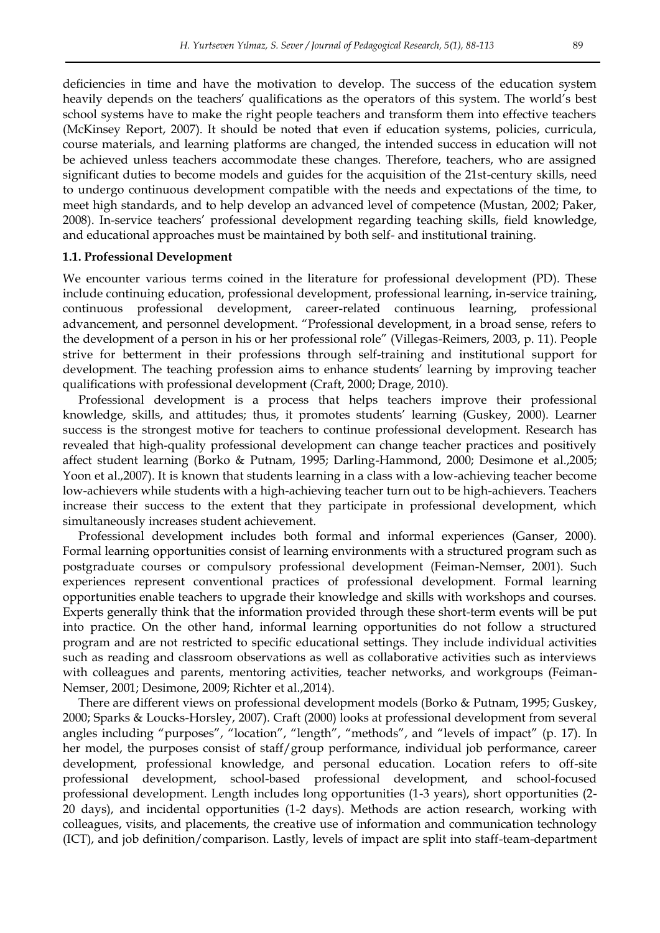deficiencies in time and have the motivation to develop. The success of the education system heavily depends on the teachers' qualifications as the operators of this system. The world's best school systems have to make the right people teachers and transform them into effective teachers (McKinsey Report, 2007). It should be noted that even if education systems, policies, curricula, course materials, and learning platforms are changed, the intended success in education will not be achieved unless teachers accommodate these changes. Therefore, teachers, who are assigned significant duties to become models and guides for the acquisition of the 21st-century skills, need to undergo continuous development compatible with the needs and expectations of the time, to meet high standards, and to help develop an advanced level of competence (Mustan, 2002; Paker, 2008). In-service teachers" professional development regarding teaching skills, field knowledge, and educational approaches must be maintained by both self- and institutional training.

#### **1.1. Professional Development**

We encounter various terms coined in the literature for professional development (PD). These include continuing education, professional development, professional learning, in-service training, continuous professional development, career-related continuous learning, professional advancement, and personnel development. "Professional development, in a broad sense, refers to the development of a person in his or her professional role" (Villegas-Reimers, 2003, p. 11). People strive for betterment in their professions through self-training and institutional support for development. The teaching profession aims to enhance students' learning by improving teacher qualifications with professional development (Craft, 2000; Drage, 2010).

Professional development is a process that helps teachers improve their professional knowledge, skills, and attitudes; thus, it promotes students' learning (Guskey, 2000). Learner success is the strongest motive for teachers to continue professional development. Research has revealed that high-quality professional development can change teacher practices and positively affect student learning (Borko & Putnam, 1995; Darling-Hammond, 2000; Desimone et al.,2005; Yoon et al.,2007). It is known that students learning in a class with a low-achieving teacher become low-achievers while students with a high-achieving teacher turn out to be high-achievers. Teachers increase their success to the extent that they participate in professional development, which simultaneously increases student achievement.

Professional development includes both formal and informal experiences (Ganser, 2000). Formal learning opportunities consist of learning environments with a structured program such as postgraduate courses or compulsory professional development (Feiman-Nemser, 2001). Such experiences represent conventional practices of professional development. Formal learning opportunities enable teachers to upgrade their knowledge and skills with workshops and courses. Experts generally think that the information provided through these short-term events will be put into practice. On the other hand, informal learning opportunities do not follow a structured program and are not restricted to specific educational settings. They include individual activities such as reading and classroom observations as well as collaborative activities such as interviews with colleagues and parents, mentoring activities, teacher networks, and workgroups (Feiman-Nemser, 2001; Desimone, 2009; Richter et al.,2014).

There are different views on professional development models (Borko & Putnam, 1995; Guskey, 2000; Sparks & Loucks-Horsley, 2007). Craft (2000) looks at professional development from several angles including "purposes", "location", "length", "methods", and "levels of impact" (p. 17). In her model, the purposes consist of staff/group performance, individual job performance, career development, professional knowledge, and personal education. Location refers to off-site professional development, school-based professional development, and school-focused professional development. Length includes long opportunities (1-3 years), short opportunities (2- 20 days), and incidental opportunities (1-2 days). Methods are action research, working with colleagues, visits, and placements, the creative use of information and communication technology (ICT), and job definition/comparison. Lastly, levels of impact are split into staff-team-department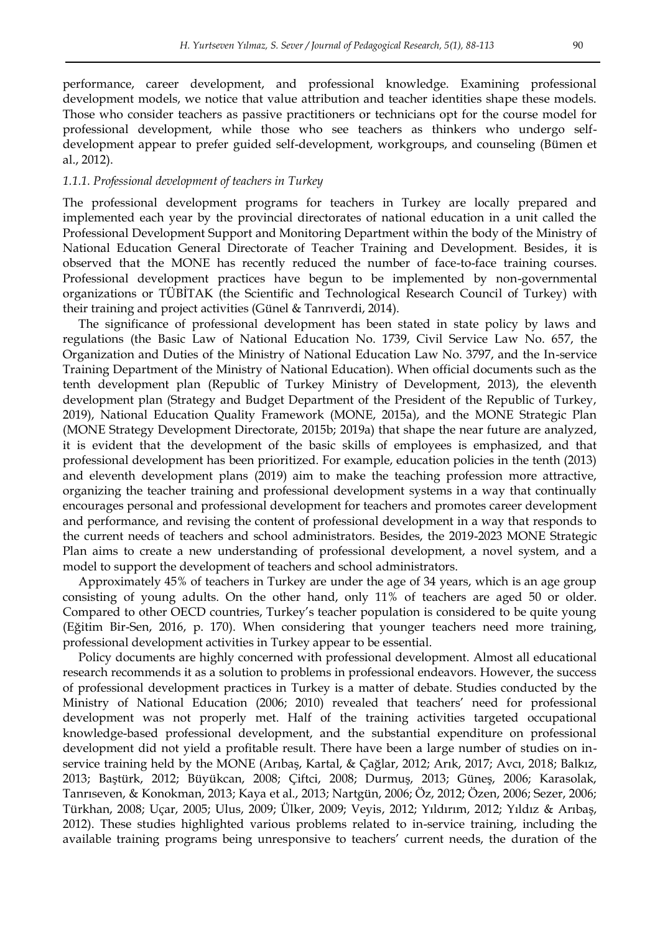performance, career development, and professional knowledge. Examining professional development models, we notice that value attribution and teacher identities shape these models. Those who consider teachers as passive practitioners or technicians opt for the course model for professional development, while those who see teachers as thinkers who undergo selfdevelopment appear to prefer guided self-development, workgroups, and counseling (Bümen et al., 2012).

#### *1.1.1. Professional development of teachers in Turkey*

The professional development programs for teachers in Turkey are locally prepared and implemented each year by the provincial directorates of national education in a unit called the Professional Development Support and Monitoring Department within the body of the Ministry of National Education General Directorate of Teacher Training and Development. Besides, it is observed that the MONE has recently reduced the number of face-to-face training courses. Professional development practices have begun to be implemented by non-governmental organizations or TÜBİTAK (the Scientific and Technological Research Council of Turkey) with their training and project activities (Günel & Tanrıverdi, 2014).

The significance of professional development has been stated in state policy by laws and regulations (the Basic Law of National Education No. 1739, Civil Service Law No. 657, the Organization and Duties of the Ministry of National Education Law No. 3797, and the In-service Training Department of the Ministry of National Education). When official documents such as the tenth development plan (Republic of Turkey Ministry of Development, 2013), the eleventh development plan (Strategy and Budget Department of the President of the Republic of Turkey, 2019), National Education Quality Framework (MONE, 2015a), and the MONE Strategic Plan (MONE Strategy Development Directorate, 2015b; 2019a) that shape the near future are analyzed, it is evident that the development of the basic skills of employees is emphasized, and that professional development has been prioritized. For example, education policies in the tenth (2013) and eleventh development plans (2019) aim to make the teaching profession more attractive, organizing the teacher training and professional development systems in a way that continually encourages personal and professional development for teachers and promotes career development and performance, and revising the content of professional development in a way that responds to the current needs of teachers and school administrators. Besides, the 2019-2023 MONE Strategic Plan aims to create a new understanding of professional development, a novel system, and a model to support the development of teachers and school administrators.

Approximately 45% of teachers in Turkey are under the age of 34 years, which is an age group consisting of young adults. On the other hand, only 11% of teachers are aged 50 or older. Compared to other OECD countries, Turkey"s teacher population is considered to be quite young (Eğitim Bir-Sen, 2016, p. 170). When considering that younger teachers need more training, professional development activities in Turkey appear to be essential.

Policy documents are highly concerned with professional development. Almost all educational research recommends it as a solution to problems in professional endeavors. However, the success of professional development practices in Turkey is a matter of debate. Studies conducted by the Ministry of National Education (2006; 2010) revealed that teachers' need for professional development was not properly met. Half of the training activities targeted occupational knowledge-based professional development, and the substantial expenditure on professional development did not yield a profitable result. There have been a large number of studies on inservice training held by the MONE (Arıbaş, Kartal, & Çağlar, 2012; Arık, 2017; Avcı, 2018; Balkız, 2013; Baştürk, 2012; Büyükcan, 2008; Çiftci, 2008; Durmuş, 2013; Güneş, 2006; Karasolak, Tanrıseven, & Konokman, 2013; Kaya et al., 2013; Nartgün, 2006; Öz, 2012; Özen, 2006; Sezer, 2006; Türkhan, 2008; Uçar, 2005; Ulus, 2009; Ülker, 2009; Veyis, 2012; Yıldırım, 2012; Yıldız & Arıbaş, 2012). These studies highlighted various problems related to in-service training, including the available training programs being unresponsive to teachers' current needs, the duration of the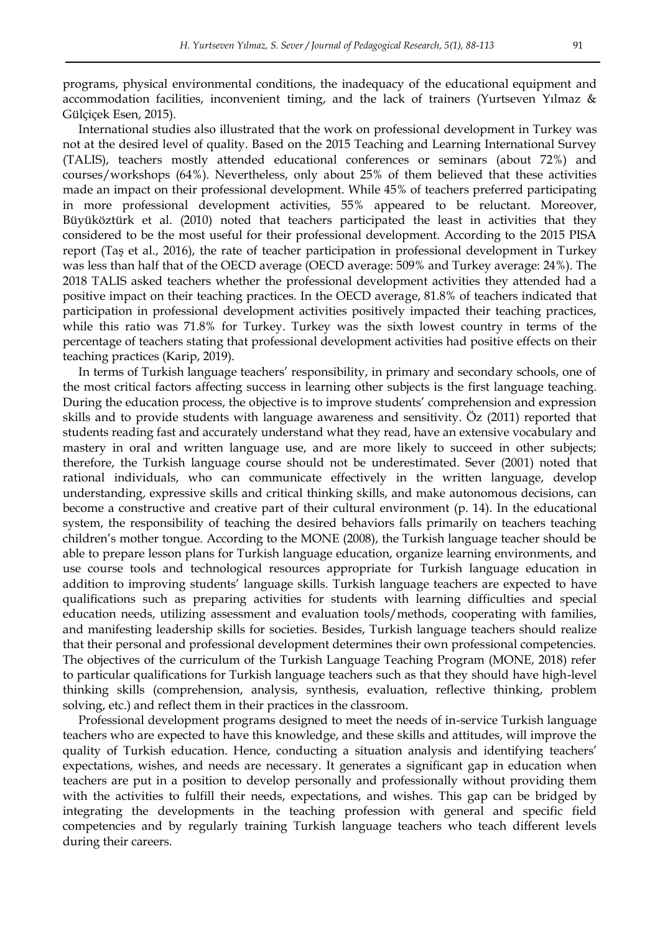programs, physical environmental conditions, the inadequacy of the educational equipment and accommodation facilities, inconvenient timing, and the lack of trainers (Yurtseven Yılmaz & Gülçiçek Esen, 2015).

International studies also illustrated that the work on professional development in Turkey was not at the desired level of quality. Based on the 2015 Teaching and Learning International Survey (TALIS), teachers mostly attended educational conferences or seminars (about 72%) and courses/workshops (64%). Nevertheless, only about 25% of them believed that these activities made an impact on their professional development. While 45% of teachers preferred participating in more professional development activities, 55% appeared to be reluctant. Moreover, Büyüköztürk et al. (2010) noted that teachers participated the least in activities that they considered to be the most useful for their professional development. According to the 2015 PISA report (Taş et al., 2016), the rate of teacher participation in professional development in Turkey was less than half that of the OECD average (OECD average: 509% and Turkey average: 24%). The 2018 TALIS asked teachers whether the professional development activities they attended had a positive impact on their teaching practices. In the OECD average, 81.8% of teachers indicated that participation in professional development activities positively impacted their teaching practices, while this ratio was 71.8% for Turkey. Turkey was the sixth lowest country in terms of the percentage of teachers stating that professional development activities had positive effects on their teaching practices (Karip, 2019).

In terms of Turkish language teachers' responsibility, in primary and secondary schools, one of the most critical factors affecting success in learning other subjects is the first language teaching. During the education process, the objective is to improve students" comprehension and expression skills and to provide students with language awareness and sensitivity. Öz (2011) reported that students reading fast and accurately understand what they read, have an extensive vocabulary and mastery in oral and written language use, and are more likely to succeed in other subjects; therefore, the Turkish language course should not be underestimated. Sever (2001) noted that rational individuals, who can communicate effectively in the written language, develop understanding, expressive skills and critical thinking skills, and make autonomous decisions, can become a constructive and creative part of their cultural environment (p. 14). In the educational system, the responsibility of teaching the desired behaviors falls primarily on teachers teaching children"s mother tongue. According to the MONE (2008), the Turkish language teacher should be able to prepare lesson plans for Turkish language education, organize learning environments, and use course tools and technological resources appropriate for Turkish language education in addition to improving students" language skills. Turkish language teachers are expected to have qualifications such as preparing activities for students with learning difficulties and special education needs, utilizing assessment and evaluation tools/methods, cooperating with families, and manifesting leadership skills for societies. Besides, Turkish language teachers should realize that their personal and professional development determines their own professional competencies. The objectives of the curriculum of the Turkish Language Teaching Program (MONE, 2018) refer to particular qualifications for Turkish language teachers such as that they should have high-level thinking skills (comprehension, analysis, synthesis, evaluation, reflective thinking, problem solving, etc.) and reflect them in their practices in the classroom.

Professional development programs designed to meet the needs of in-service Turkish language teachers who are expected to have this knowledge, and these skills and attitudes, will improve the quality of Turkish education. Hence, conducting a situation analysis and identifying teachers" expectations, wishes, and needs are necessary. It generates a significant gap in education when teachers are put in a position to develop personally and professionally without providing them with the activities to fulfill their needs, expectations, and wishes. This gap can be bridged by integrating the developments in the teaching profession with general and specific field competencies and by regularly training Turkish language teachers who teach different levels during their careers.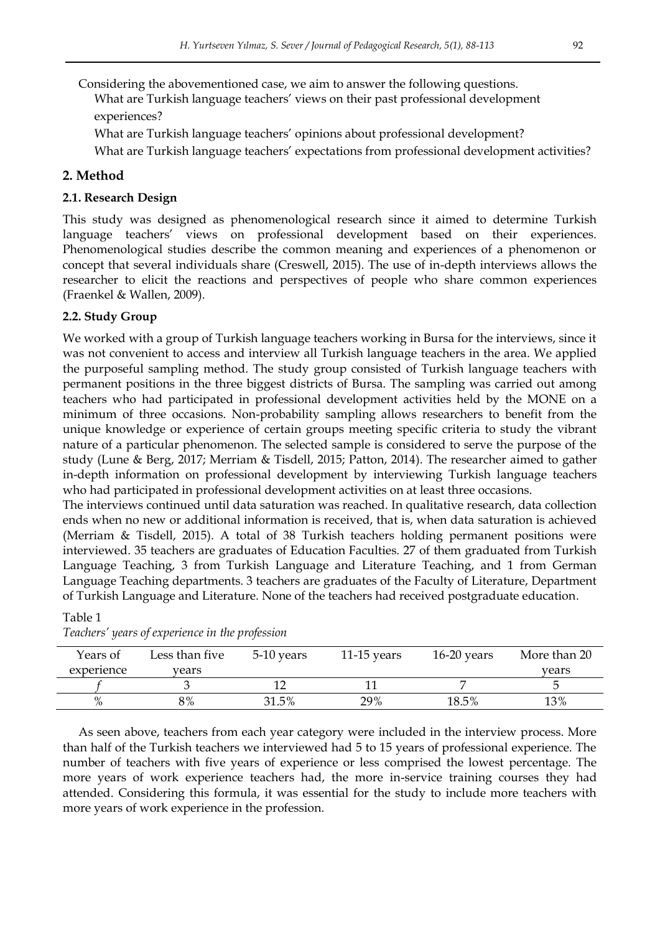Considering the abovementioned case, we aim to answer the following questions.

What are Turkish language teachers' views on their past professional development experiences?

What are Turkish language teachers" opinions about professional development?

What are Turkish language teachers' expectations from professional development activities?

## **2. Method**

## **2.1. Research Design**

This study was designed as phenomenological research since it aimed to determine Turkish language teachers' views on professional development based on their experiences. Phenomenological studies describe the common meaning and experiences of a phenomenon or concept that several individuals share (Creswell, 2015). The use of in-depth interviews allows the researcher to elicit the reactions and perspectives of people who share common experiences (Fraenkel & Wallen, 2009).

## **2.2. Study Group**

Table 1

We worked with a group of Turkish language teachers working in Bursa for the interviews, since it was not convenient to access and interview all Turkish language teachers in the area. We applied the purposeful sampling method. The study group consisted of Turkish language teachers with permanent positions in the three biggest districts of Bursa. The sampling was carried out among teachers who had participated in professional development activities held by the MONE on a minimum of three occasions. Non-probability sampling allows researchers to benefit from the unique knowledge or experience of certain groups meeting specific criteria to study the vibrant nature of a particular phenomenon. The selected sample is considered to serve the purpose of the study (Lune & Berg, 2017; Merriam & Tisdell, 2015; Patton, 2014). The researcher aimed to gather in-depth information on professional development by interviewing Turkish language teachers who had participated in professional development activities on at least three occasions.

The interviews continued until data saturation was reached. In qualitative research, data collection ends when no new or additional information is received, that is, when data saturation is achieved (Merriam & Tisdell, 2015). A total of 38 Turkish teachers holding permanent positions were interviewed. 35 teachers are graduates of Education Faculties. 27 of them graduated from Turkish Language Teaching, 3 from Turkish Language and Literature Teaching, and 1 from German Language Teaching departments. 3 teachers are graduates of the Faculty of Literature, Department of Turkish Language and Literature. None of the teachers had received postgraduate education.

| Years of   | Less than five | 5-10 years | $11-15$ years | $16-20$ years | More than 20 |
|------------|----------------|------------|---------------|---------------|--------------|
| experience | vears          |            |               |               | vears        |
|            |                |            |               |               |              |
| $\%$       | 8%             | 31.5%      | 29%           | 18.5%         | 13%          |

*Teachers' years of experience in the profession*

As seen above, teachers from each year category were included in the interview process. More than half of the Turkish teachers we interviewed had 5 to 15 years of professional experience. The number of teachers with five years of experience or less comprised the lowest percentage. The more years of work experience teachers had, the more in-service training courses they had attended. Considering this formula, it was essential for the study to include more teachers with more years of work experience in the profession.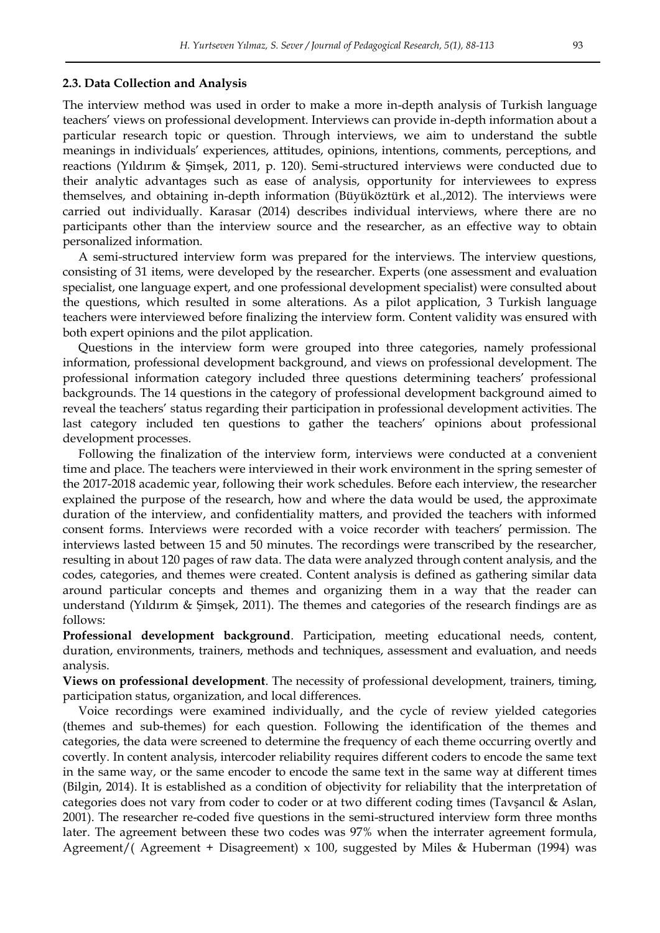#### **2.3. Data Collection and Analysis**

The interview method was used in order to make a more in-depth analysis of Turkish language teachers" views on professional development. Interviews can provide in-depth information about a particular research topic or question. Through interviews, we aim to understand the subtle meanings in individuals" experiences, attitudes, opinions, intentions, comments, perceptions, and reactions (Yıldırım & Şimşek, 2011, p. 120). Semi-structured interviews were conducted due to their analytic advantages such as ease of analysis, opportunity for interviewees to express themselves, and obtaining in-depth information (Büyüköztürk et al.,2012). The interviews were carried out individually. Karasar (2014) describes individual interviews, where there are no participants other than the interview source and the researcher, as an effective way to obtain personalized information.

A semi-structured interview form was prepared for the interviews. The interview questions, consisting of 31 items, were developed by the researcher. Experts (one assessment and evaluation specialist, one language expert, and one professional development specialist) were consulted about the questions, which resulted in some alterations. As a pilot application, 3 Turkish language teachers were interviewed before finalizing the interview form. Content validity was ensured with both expert opinions and the pilot application.

Questions in the interview form were grouped into three categories, namely professional information, professional development background, and views on professional development. The professional information category included three questions determining teachers" professional backgrounds. The 14 questions in the category of professional development background aimed to reveal the teachers" status regarding their participation in professional development activities. The last category included ten questions to gather the teachers" opinions about professional development processes.

Following the finalization of the interview form, interviews were conducted at a convenient time and place. The teachers were interviewed in their work environment in the spring semester of the 2017-2018 academic year, following their work schedules. Before each interview, the researcher explained the purpose of the research, how and where the data would be used, the approximate duration of the interview, and confidentiality matters, and provided the teachers with informed consent forms. Interviews were recorded with a voice recorder with teachers' permission. The interviews lasted between 15 and 50 minutes. The recordings were transcribed by the researcher, resulting in about 120 pages of raw data. The data were analyzed through content analysis, and the codes, categories, and themes were created. Content analysis is defined as gathering similar data around particular concepts and themes and organizing them in a way that the reader can understand (Yıldırım & Şimşek, 2011). The themes and categories of the research findings are as follows:

**Professional development background**. Participation, meeting educational needs, content, duration, environments, trainers, methods and techniques, assessment and evaluation, and needs analysis.

**Views on professional development**. The necessity of professional development, trainers, timing, participation status, organization, and local differences.

Voice recordings were examined individually, and the cycle of review yielded categories (themes and sub-themes) for each question. Following the identification of the themes and categories, the data were screened to determine the frequency of each theme occurring overtly and covertly. In content analysis, intercoder reliability requires different coders to encode the same text in the same way, or the same encoder to encode the same text in the same way at different times (Bilgin, 2014). It is established as a condition of objectivity for reliability that the interpretation of categories does not vary from coder to coder or at two different coding times (Tavşancıl & Aslan, 2001). The researcher re-coded five questions in the semi-structured interview form three months later. The agreement between these two codes was 97% when the interrater agreement formula, Agreement/( Agreement + Disagreement)  $x$  100, suggested by Miles & Huberman (1994) was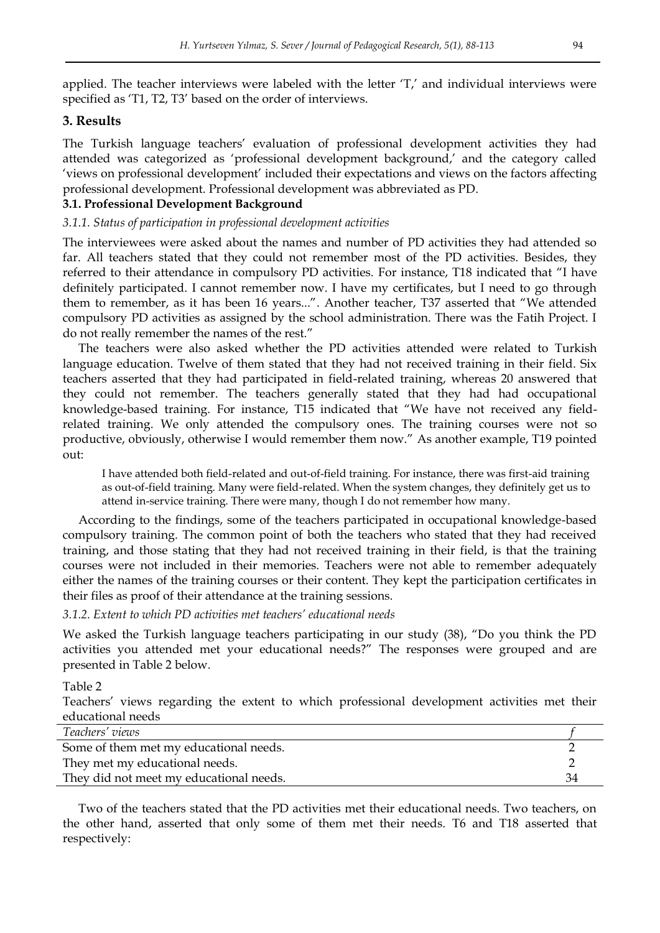applied. The teacher interviews were labeled with the letter 'T,' and individual interviews were specified as 'T1, T2, T3' based on the order of interviews.

## **3. Results**

The Turkish language teachers' evaluation of professional development activities they had attended was categorized as 'professional development background,' and the category called 'views on professional development' included their expectations and views on the factors affecting professional development. Professional development was abbreviated as PD.

## **3.1. Professional Development Background**

#### *3.1.1. Status of participation in professional development activities*

The interviewees were asked about the names and number of PD activities they had attended so far. All teachers stated that they could not remember most of the PD activities. Besides, they referred to their attendance in compulsory PD activities. For instance, T18 indicated that "I have definitely participated. I cannot remember now. I have my certificates, but I need to go through them to remember, as it has been 16 years...". Another teacher, T37 asserted that "We attended compulsory PD activities as assigned by the school administration. There was the Fatih Project. I do not really remember the names of the rest."

The teachers were also asked whether the PD activities attended were related to Turkish language education. Twelve of them stated that they had not received training in their field. Six teachers asserted that they had participated in field-related training, whereas 20 answered that they could not remember. The teachers generally stated that they had had occupational knowledge-based training. For instance, T15 indicated that "We have not received any fieldrelated training. We only attended the compulsory ones. The training courses were not so productive, obviously, otherwise I would remember them now." As another example, T19 pointed out:

I have attended both field-related and out-of-field training. For instance, there was first-aid training as out-of-field training. Many were field-related. When the system changes, they definitely get us to attend in-service training. There were many, though I do not remember how many.

According to the findings, some of the teachers participated in occupational knowledge-based compulsory training. The common point of both the teachers who stated that they had received training, and those stating that they had not received training in their field, is that the training courses were not included in their memories. Teachers were not able to remember adequately either the names of the training courses or their content. They kept the participation certificates in their files as proof of their attendance at the training sessions.

#### *3.1.2. Extent to which PD activities met teachers' educational needs*

We asked the Turkish language teachers participating in our study (38), "Do you think the PD activities you attended met your educational needs?" The responses were grouped and are presented in Table 2 below.

#### Table 2

Teachers" views regarding the extent to which professional development activities met their educational needs

| Teachers' views                         |    |
|-----------------------------------------|----|
| Some of them met my educational needs.  |    |
| They met my educational needs.          |    |
| They did not meet my educational needs. | 34 |

Two of the teachers stated that the PD activities met their educational needs. Two teachers, on the other hand, asserted that only some of them met their needs. T6 and T18 asserted that respectively: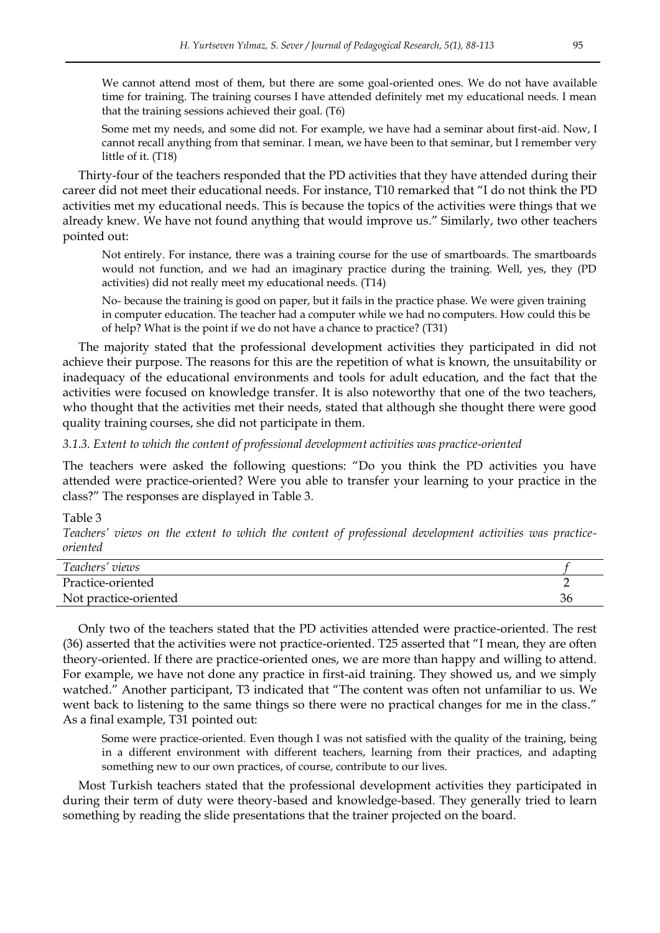We cannot attend most of them, but there are some goal-oriented ones. We do not have available time for training. The training courses I have attended definitely met my educational needs. I mean that the training sessions achieved their goal. (T6)

Some met my needs, and some did not. For example, we have had a seminar about first-aid. Now, I cannot recall anything from that seminar. I mean, we have been to that seminar, but I remember very little of it. (T18)

Thirty-four of the teachers responded that the PD activities that they have attended during their career did not meet their educational needs. For instance, T10 remarked that "I do not think the PD activities met my educational needs. This is because the topics of the activities were things that we already knew. We have not found anything that would improve us." Similarly, two other teachers pointed out:

Not entirely. For instance, there was a training course for the use of smartboards. The smartboards would not function, and we had an imaginary practice during the training. Well, yes, they (PD activities) did not really meet my educational needs. (T14)

No- because the training is good on paper, but it fails in the practice phase. We were given training in computer education. The teacher had a computer while we had no computers. How could this be of help? What is the point if we do not have a chance to practice? (T31)

The majority stated that the professional development activities they participated in did not achieve their purpose. The reasons for this are the repetition of what is known, the unsuitability or inadequacy of the educational environments and tools for adult education, and the fact that the activities were focused on knowledge transfer. It is also noteworthy that one of the two teachers, who thought that the activities met their needs, stated that although she thought there were good quality training courses, she did not participate in them.

#### *3.1.3. Extent to which the content of professional development activities was practice-oriented*

The teachers were asked the following questions: "Do you think the PD activities you have attended were practice-oriented? Were you able to transfer your learning to your practice in the class?" The responses are displayed in Table 3.

#### Table 3

*Teachers' views on the extent to which the content of professional development activities was practiceoriented* 

| Teachers' views       |    |
|-----------------------|----|
| Practice-oriented     |    |
| Not practice-oriented | 36 |
|                       |    |

Only two of the teachers stated that the PD activities attended were practice-oriented. The rest (36) asserted that the activities were not practice-oriented. T25 asserted that "I mean, they are often theory-oriented. If there are practice-oriented ones, we are more than happy and willing to attend. For example, we have not done any practice in first-aid training. They showed us, and we simply watched." Another participant, T3 indicated that "The content was often not unfamiliar to us. We went back to listening to the same things so there were no practical changes for me in the class." As a final example, T31 pointed out:

Some were practice-oriented. Even though I was not satisfied with the quality of the training, being in a different environment with different teachers, learning from their practices, and adapting something new to our own practices, of course, contribute to our lives.

Most Turkish teachers stated that the professional development activities they participated in during their term of duty were theory-based and knowledge-based. They generally tried to learn something by reading the slide presentations that the trainer projected on the board.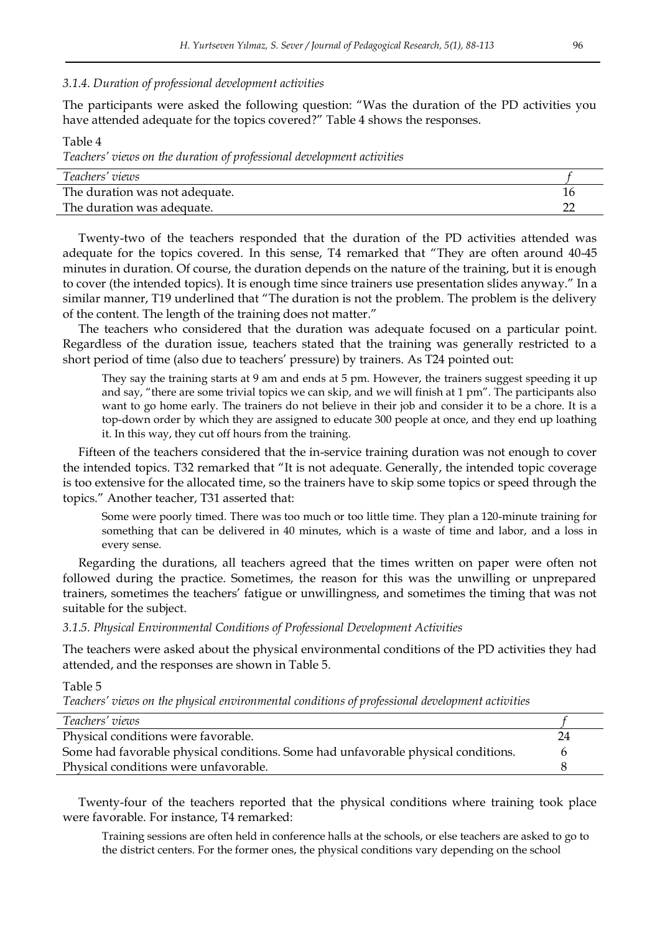#### *3.1.4. Duration of professional development activities*

The participants were asked the following question: "Was the duration of the PD activities you have attended adequate for the topics covered?" Table 4 shows the responses.

Table 4 *Teachers' views on the duration of professional development activities Teachers' views f*

| The duration was not adequate. |  |
|--------------------------------|--|
| The duration was adequate.     |  |
|                                |  |

Twenty-two of the teachers responded that the duration of the PD activities attended was adequate for the topics covered. In this sense, T4 remarked that "They are often around 40-45 minutes in duration. Of course, the duration depends on the nature of the training, but it is enough to cover (the intended topics). It is enough time since trainers use presentation slides anyway." In a similar manner, T19 underlined that "The duration is not the problem. The problem is the delivery of the content. The length of the training does not matter."

The teachers who considered that the duration was adequate focused on a particular point. Regardless of the duration issue, teachers stated that the training was generally restricted to a short period of time (also due to teachers" pressure) by trainers. As T24 pointed out:

They say the training starts at 9 am and ends at 5 pm. However, the trainers suggest speeding it up and say, "there are some trivial topics we can skip, and we will finish at 1 pm". The participants also want to go home early. The trainers do not believe in their job and consider it to be a chore. It is a top-down order by which they are assigned to educate 300 people at once, and they end up loathing it. In this way, they cut off hours from the training.

Fifteen of the teachers considered that the in-service training duration was not enough to cover the intended topics. T32 remarked that "It is not adequate. Generally, the intended topic coverage is too extensive for the allocated time, so the trainers have to skip some topics or speed through the topics." Another teacher, T31 asserted that:

Some were poorly timed. There was too much or too little time. They plan a 120-minute training for something that can be delivered in 40 minutes, which is a waste of time and labor, and a loss in every sense.

Regarding the durations, all teachers agreed that the times written on paper were often not followed during the practice. Sometimes, the reason for this was the unwilling or unprepared trainers, sometimes the teachers" fatigue or unwillingness, and sometimes the timing that was not suitable for the subject.

*3.1.5. Physical Environmental Conditions of Professional Development Activities* 

The teachers were asked about the physical environmental conditions of the PD activities they had attended, and the responses are shown in Table 5.

Table 5

*Teachers' views on the physical environmental conditions of professional development activities* 

| Teachers' views                                                                   |    |
|-----------------------------------------------------------------------------------|----|
| Physical conditions were favorable.                                               | 24 |
| Some had favorable physical conditions. Some had unfavorable physical conditions. |    |
| Physical conditions were unfavorable.                                             |    |
|                                                                                   |    |

Twenty-four of the teachers reported that the physical conditions where training took place were favorable. For instance, T4 remarked:

Training sessions are often held in conference halls at the schools, or else teachers are asked to go to the district centers. For the former ones, the physical conditions vary depending on the school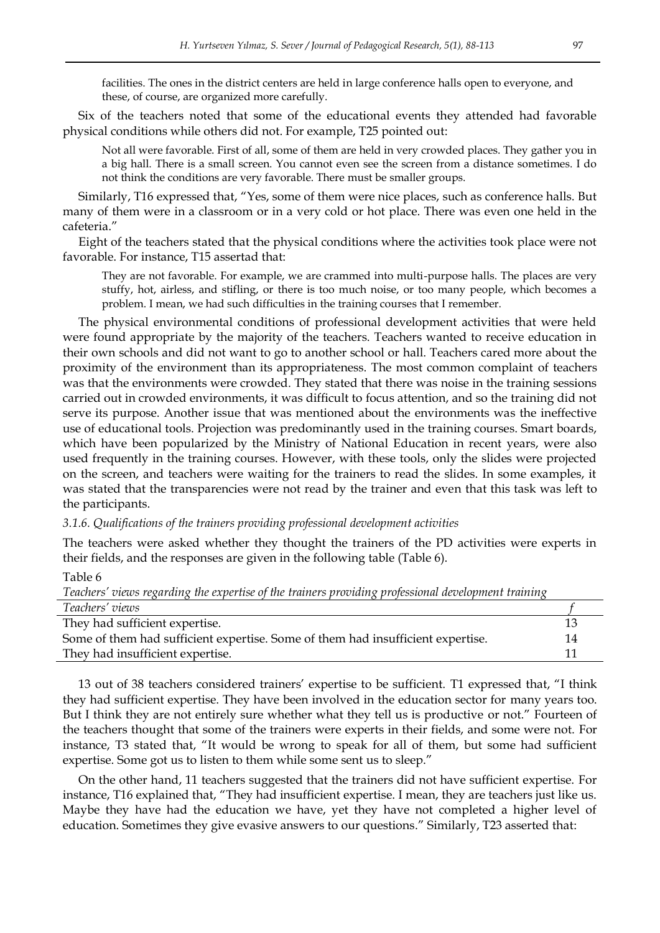facilities. The ones in the district centers are held in large conference halls open to everyone, and these, of course, are organized more carefully.

Six of the teachers noted that some of the educational events they attended had favorable physical conditions while others did not. For example, T25 pointed out:

Not all were favorable. First of all, some of them are held in very crowded places. They gather you in a big hall. There is a small screen. You cannot even see the screen from a distance sometimes. I do not think the conditions are very favorable. There must be smaller groups.

Similarly, T16 expressed that, "Yes, some of them were nice places, such as conference halls. But many of them were in a classroom or in a very cold or hot place. There was even one held in the cafeteria."

Eight of the teachers stated that the physical conditions where the activities took place were not favorable. For instance, T15 assertad that:

They are not favorable. For example, we are crammed into multi-purpose halls. The places are very stuffy, hot, airless, and stifling, or there is too much noise, or too many people, which becomes a problem. I mean, we had such difficulties in the training courses that I remember.

The physical environmental conditions of professional development activities that were held were found appropriate by the majority of the teachers. Teachers wanted to receive education in their own schools and did not want to go to another school or hall. Teachers cared more about the proximity of the environment than its appropriateness. The most common complaint of teachers was that the environments were crowded. They stated that there was noise in the training sessions carried out in crowded environments, it was difficult to focus attention, and so the training did not serve its purpose. Another issue that was mentioned about the environments was the ineffective use of educational tools. Projection was predominantly used in the training courses. Smart boards, which have been popularized by the Ministry of National Education in recent years, were also used frequently in the training courses. However, with these tools, only the slides were projected on the screen, and teachers were waiting for the trainers to read the slides. In some examples, it was stated that the transparencies were not read by the trainer and even that this task was left to the participants.

*3.1.6. Qualifications of the trainers providing professional development activities* 

The teachers were asked whether they thought the trainers of the PD activities were experts in their fields, and the responses are given in the following table (Table 6).

Table 6

*Teachers' views regarding the expertise of the trainers providing professional development training* 

| Teachers' views                                                                 |  |
|---------------------------------------------------------------------------------|--|
| They had sufficient expertise.                                                  |  |
| Some of them had sufficient expertise. Some of them had insufficient expertise. |  |
| They had insufficient expertise.                                                |  |
|                                                                                 |  |

13 out of 38 teachers considered trainers" expertise to be sufficient. T1 expressed that, "I think they had sufficient expertise. They have been involved in the education sector for many years too. But I think they are not entirely sure whether what they tell us is productive or not." Fourteen of the teachers thought that some of the trainers were experts in their fields, and some were not. For instance, T3 stated that, "It would be wrong to speak for all of them, but some had sufficient expertise. Some got us to listen to them while some sent us to sleep."

On the other hand, 11 teachers suggested that the trainers did not have sufficient expertise. For instance, T16 explained that, "They had insufficient expertise. I mean, they are teachers just like us. Maybe they have had the education we have, yet they have not completed a higher level of education. Sometimes they give evasive answers to our questions." Similarly, T23 asserted that: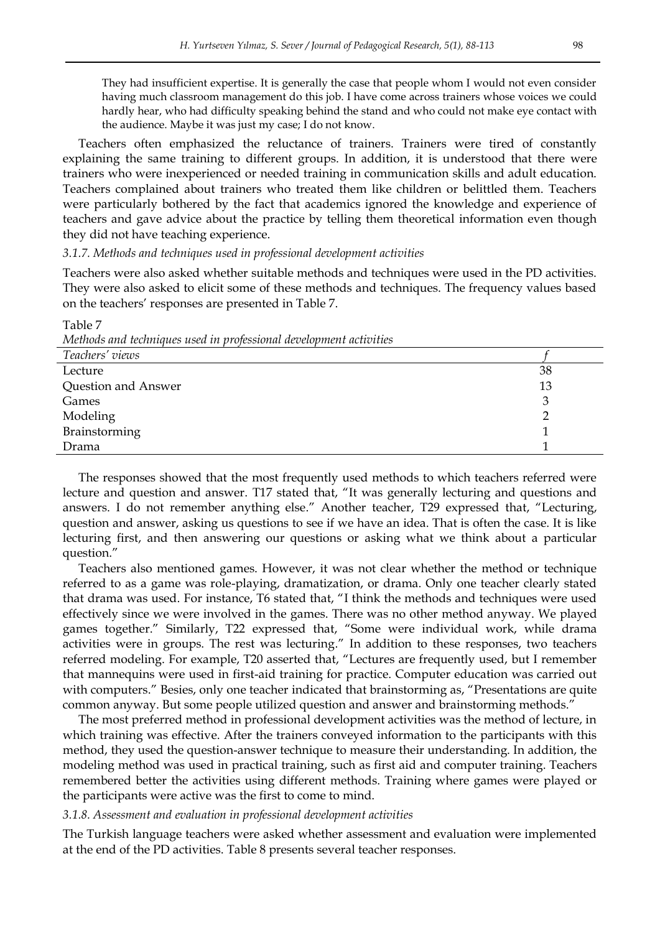They had insufficient expertise. It is generally the case that people whom I would not even consider having much classroom management do this job. I have come across trainers whose voices we could hardly hear, who had difficulty speaking behind the stand and who could not make eye contact with the audience. Maybe it was just my case; I do not know.

Teachers often emphasized the reluctance of trainers. Trainers were tired of constantly explaining the same training to different groups. In addition, it is understood that there were trainers who were inexperienced or needed training in communication skills and adult education. Teachers complained about trainers who treated them like children or belittled them. Teachers were particularly bothered by the fact that academics ignored the knowledge and experience of teachers and gave advice about the practice by telling them theoretical information even though they did not have teaching experience.

#### *3.1.7. Methods and techniques used in professional development activities*

Teachers were also asked whether suitable methods and techniques were used in the PD activities. They were also asked to elicit some of these methods and techniques. The frequency values based on the teachers" responses are presented in Table 7.

Table 7 *Methods and techniques used in professional development activities* 

| There are all the contractive and the projection and the property of the contract of the second through the contract of the contract of the contract of the contract of the contract of the contract of the contract of the co |    |
|--------------------------------------------------------------------------------------------------------------------------------------------------------------------------------------------------------------------------------|----|
| Teachers' views                                                                                                                                                                                                                |    |
| Lecture                                                                                                                                                                                                                        | 38 |
| Question and Answer                                                                                                                                                                                                            | 13 |
| Games                                                                                                                                                                                                                          |    |
| Modeling                                                                                                                                                                                                                       |    |
| Brainstorming                                                                                                                                                                                                                  |    |
| Drama                                                                                                                                                                                                                          |    |

The responses showed that the most frequently used methods to which teachers referred were lecture and question and answer. T17 stated that, "It was generally lecturing and questions and answers. I do not remember anything else." Another teacher, T29 expressed that, "Lecturing, question and answer, asking us questions to see if we have an idea. That is often the case. It is like lecturing first, and then answering our questions or asking what we think about a particular question."

Teachers also mentioned games. However, it was not clear whether the method or technique referred to as a game was role-playing, dramatization, or drama. Only one teacher clearly stated that drama was used. For instance, T6 stated that, "I think the methods and techniques were used effectively since we were involved in the games. There was no other method anyway. We played games together." Similarly, T22 expressed that, "Some were individual work, while drama activities were in groups. The rest was lecturing." In addition to these responses, two teachers referred modeling. For example, T20 asserted that, "Lectures are frequently used, but I remember that mannequins were used in first-aid training for practice. Computer education was carried out with computers." Besies, only one teacher indicated that brainstorming as, "Presentations are quite common anyway. But some people utilized question and answer and brainstorming methods."

The most preferred method in professional development activities was the method of lecture, in which training was effective. After the trainers conveyed information to the participants with this method, they used the question-answer technique to measure their understanding. In addition, the modeling method was used in practical training, such as first aid and computer training. Teachers remembered better the activities using different methods. Training where games were played or the participants were active was the first to come to mind.

#### *3.1.8. Assessment and evaluation in professional development activities*

The Turkish language teachers were asked whether assessment and evaluation were implemented at the end of the PD activities. Table 8 presents several teacher responses.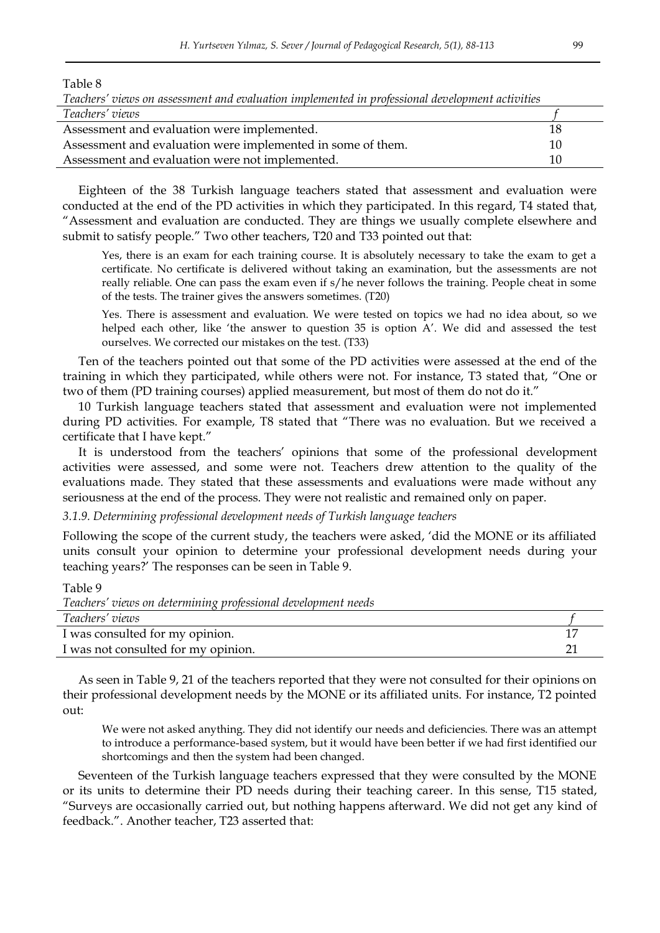Table 8

| Teachers' views on assessment and evaluation implemented in professional development activities |    |  |  |
|-------------------------------------------------------------------------------------------------|----|--|--|
| Teachers' views                                                                                 |    |  |  |
| Assessment and evaluation were implemented.                                                     | 18 |  |  |
| Assessment and evaluation were implemented in some of them.                                     | 10 |  |  |
| Assessment and evaluation were not implemented.                                                 | 10 |  |  |

Eighteen of the 38 Turkish language teachers stated that assessment and evaluation were conducted at the end of the PD activities in which they participated. In this regard, T4 stated that, "Assessment and evaluation are conducted. They are things we usually complete elsewhere and submit to satisfy people." Two other teachers, T20 and T33 pointed out that:

Yes, there is an exam for each training course. It is absolutely necessary to take the exam to get a certificate. No certificate is delivered without taking an examination, but the assessments are not really reliable. One can pass the exam even if s/he never follows the training. People cheat in some of the tests. The trainer gives the answers sometimes. (T20)

Yes. There is assessment and evaluation. We were tested on topics we had no idea about, so we helped each other, like 'the answer to question  $35$  is option  $A'$ . We did and assessed the test ourselves. We corrected our mistakes on the test. (T33)

Ten of the teachers pointed out that some of the PD activities were assessed at the end of the training in which they participated, while others were not. For instance, T3 stated that, "One or two of them (PD training courses) applied measurement, but most of them do not do it."

10 Turkish language teachers stated that assessment and evaluation were not implemented during PD activities. For example, T8 stated that "There was no evaluation. But we received a certificate that I have kept."

It is understood from the teachers" opinions that some of the professional development activities were assessed, and some were not. Teachers drew attention to the quality of the evaluations made. They stated that these assessments and evaluations were made without any seriousness at the end of the process. They were not realistic and remained only on paper.

*3.1.9. Determining professional development needs of Turkish language teachers* 

Following the scope of the current study, the teachers were asked, "did the MONE or its affiliated units consult your opinion to determine your professional development needs during your teaching years?" The responses can be seen in Table 9.

Table 9

| Teachers' views on determining professional development needs |  |
|---------------------------------------------------------------|--|
| Teachers' views                                               |  |
| I was consulted for my opinion.                               |  |
| I was not consulted for my opinion.                           |  |

As seen in Table 9, 21 of the teachers reported that they were not consulted for their opinions on their professional development needs by the MONE or its affiliated units. For instance, T2 pointed out:

We were not asked anything. They did not identify our needs and deficiencies. There was an attempt to introduce a performance-based system, but it would have been better if we had first identified our shortcomings and then the system had been changed.

Seventeen of the Turkish language teachers expressed that they were consulted by the MONE or its units to determine their PD needs during their teaching career. In this sense, T15 stated, "Surveys are occasionally carried out, but nothing happens afterward. We did not get any kind of feedback.". Another teacher, T23 asserted that: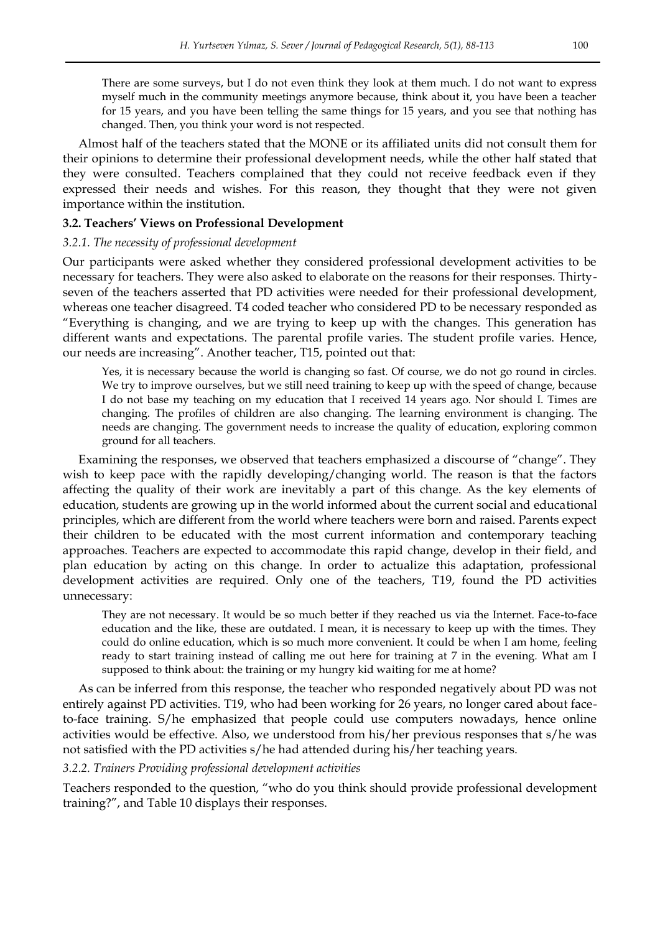There are some surveys, but I do not even think they look at them much. I do not want to express myself much in the community meetings anymore because, think about it, you have been a teacher for 15 years, and you have been telling the same things for 15 years, and you see that nothing has changed. Then, you think your word is not respected.

Almost half of the teachers stated that the MONE or its affiliated units did not consult them for their opinions to determine their professional development needs, while the other half stated that they were consulted. Teachers complained that they could not receive feedback even if they expressed their needs and wishes. For this reason, they thought that they were not given importance within the institution.

#### **3.2. Teachers' Views on Professional Development**

#### *3.2.1. The necessity of professional development*

Our participants were asked whether they considered professional development activities to be necessary for teachers. They were also asked to elaborate on the reasons for their responses. Thirtyseven of the teachers asserted that PD activities were needed for their professional development, whereas one teacher disagreed. T4 coded teacher who considered PD to be necessary responded as "Everything is changing, and we are trying to keep up with the changes. This generation has different wants and expectations. The parental profile varies. The student profile varies. Hence, our needs are increasing". Another teacher, T15, pointed out that:

Yes, it is necessary because the world is changing so fast. Of course, we do not go round in circles. We try to improve ourselves, but we still need training to keep up with the speed of change, because I do not base my teaching on my education that I received 14 years ago. Nor should I. Times are changing. The profiles of children are also changing. The learning environment is changing. The needs are changing. The government needs to increase the quality of education, exploring common ground for all teachers.

Examining the responses, we observed that teachers emphasized a discourse of "change". They wish to keep pace with the rapidly developing/changing world. The reason is that the factors affecting the quality of their work are inevitably a part of this change. As the key elements of education, students are growing up in the world informed about the current social and educational principles, which are different from the world where teachers were born and raised. Parents expect their children to be educated with the most current information and contemporary teaching approaches. Teachers are expected to accommodate this rapid change, develop in their field, and plan education by acting on this change. In order to actualize this adaptation, professional development activities are required. Only one of the teachers, T19, found the PD activities unnecessary:

They are not necessary. It would be so much better if they reached us via the Internet. Face-to-face education and the like, these are outdated. I mean, it is necessary to keep up with the times. They could do online education, which is so much more convenient. It could be when I am home, feeling ready to start training instead of calling me out here for training at 7 in the evening. What am I supposed to think about: the training or my hungry kid waiting for me at home?

As can be inferred from this response, the teacher who responded negatively about PD was not entirely against PD activities. T19, who had been working for 26 years, no longer cared about faceto-face training. S/he emphasized that people could use computers nowadays, hence online activities would be effective. Also, we understood from his/her previous responses that s/he was not satisfied with the PD activities s/he had attended during his/her teaching years.

#### *3.2.2. Trainers Providing professional development activities*

Teachers responded to the question, "who do you think should provide professional development training?", and Table 10 displays their responses.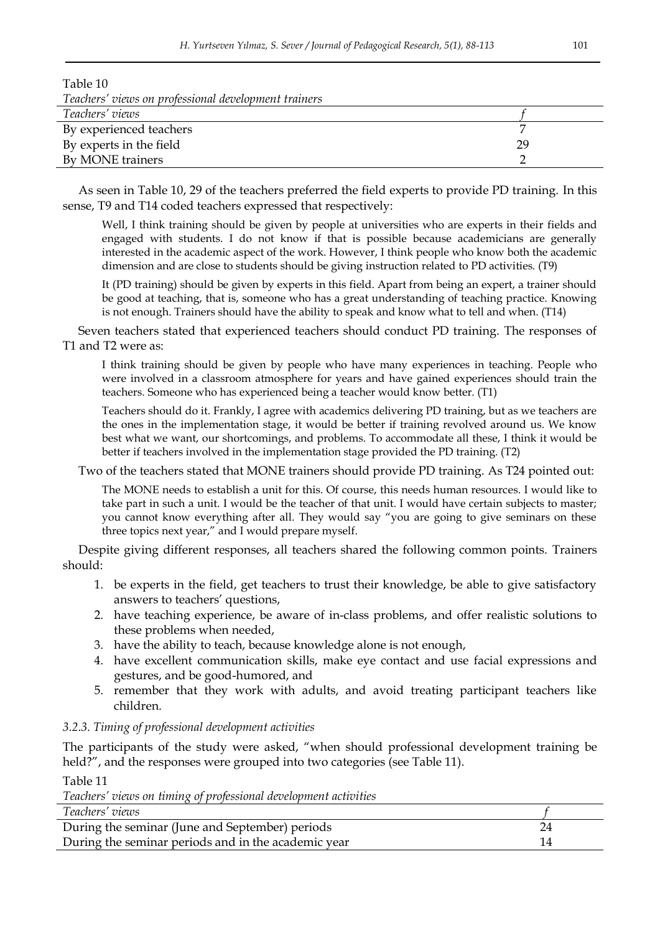| Table 10                                             |    |
|------------------------------------------------------|----|
| Teachers' views on professional development trainers |    |
| Teachers' views                                      |    |
| By experienced teachers                              |    |
| By experts in the field                              | 29 |
| By MONE trainers                                     |    |

As seen in Table 10, 29 of the teachers preferred the field experts to provide PD training. In this sense, T9 and T14 coded teachers expressed that respectively:

Well, I think training should be given by people at universities who are experts in their fields and engaged with students. I do not know if that is possible because academicians are generally interested in the academic aspect of the work. However, I think people who know both the academic dimension and are close to students should be giving instruction related to PD activities. (T9)

It (PD training) should be given by experts in this field. Apart from being an expert, a trainer should be good at teaching, that is, someone who has a great understanding of teaching practice. Knowing is not enough. Trainers should have the ability to speak and know what to tell and when. (T14)

Seven teachers stated that experienced teachers should conduct PD training. The responses of T1 and T2 were as:

I think training should be given by people who have many experiences in teaching. People who were involved in a classroom atmosphere for years and have gained experiences should train the teachers. Someone who has experienced being a teacher would know better. (T1)

Teachers should do it. Frankly, I agree with academics delivering PD training, but as we teachers are the ones in the implementation stage, it would be better if training revolved around us. We know best what we want, our shortcomings, and problems. To accommodate all these, I think it would be better if teachers involved in the implementation stage provided the PD training. (T2)

Two of the teachers stated that MONE trainers should provide PD training. As T24 pointed out:

The MONE needs to establish a unit for this. Of course, this needs human resources. I would like to take part in such a unit. I would be the teacher of that unit. I would have certain subjects to master; you cannot know everything after all. They would say "you are going to give seminars on these three topics next year," and I would prepare myself.

Despite giving different responses, all teachers shared the following common points. Trainers should:

- 1. be experts in the field, get teachers to trust their knowledge, be able to give satisfactory answers to teachers' questions,
- 2. have teaching experience, be aware of in-class problems, and offer realistic solutions to these problems when needed,
- 3. have the ability to teach, because knowledge alone is not enough,
- 4. have excellent communication skills, make eye contact and use facial expressions and gestures, and be good-humored, and
- 5. remember that they work with adults, and avoid treating participant teachers like children.

## *3.2.3. Timing of professional development activities*

The participants of the study were asked, "when should professional development training be held?", and the responses were grouped into two categories (see Table 11).

Table 11

|  | Teachers' views on timing of professional development activities |
|--|------------------------------------------------------------------|
|  |                                                                  |

| Teachers' views                                     |  |
|-----------------------------------------------------|--|
| During the seminar (June and September) periods     |  |
| During the seminar periods and in the academic year |  |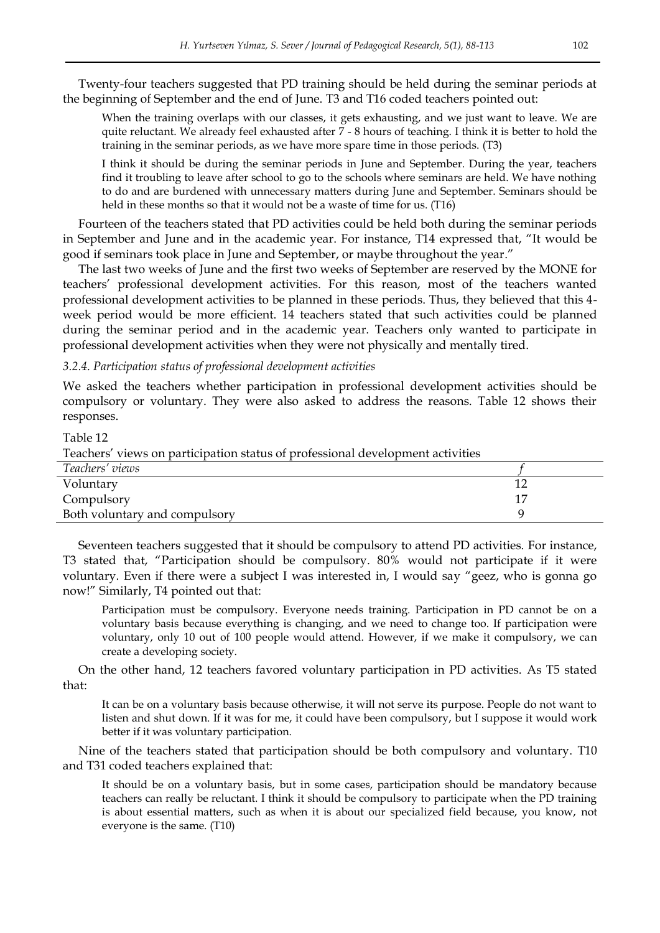Twenty-four teachers suggested that PD training should be held during the seminar periods at the beginning of September and the end of June. T3 and T16 coded teachers pointed out:

When the training overlaps with our classes, it gets exhausting, and we just want to leave. We are quite reluctant. We already feel exhausted after 7 - 8 hours of teaching. I think it is better to hold the training in the seminar periods, as we have more spare time in those periods. (T3)

I think it should be during the seminar periods in June and September. During the year, teachers find it troubling to leave after school to go to the schools where seminars are held. We have nothing to do and are burdened with unnecessary matters during June and September. Seminars should be held in these months so that it would not be a waste of time for us. (T16)

Fourteen of the teachers stated that PD activities could be held both during the seminar periods in September and June and in the academic year. For instance, T14 expressed that, "It would be good if seminars took place in June and September, or maybe throughout the year."

The last two weeks of June and the first two weeks of September are reserved by the MONE for teachers" professional development activities. For this reason, most of the teachers wanted professional development activities to be planned in these periods. Thus, they believed that this 4 week period would be more efficient. 14 teachers stated that such activities could be planned during the seminar period and in the academic year. Teachers only wanted to participate in professional development activities when they were not physically and mentally tired.

*3.2.4. Participation status of professional development activities* 

We asked the teachers whether participation in professional development activities should be compulsory or voluntary. They were also asked to address the reasons. Table 12 shows their responses.

| Table 12                                                                       |    |
|--------------------------------------------------------------------------------|----|
| Teachers' views on participation status of professional development activities |    |
| Teachers' views                                                                |    |
| Voluntary                                                                      | 12 |
| Compulsory                                                                     | 17 |
| Both voluntary and compulsory                                                  |    |

Seventeen teachers suggested that it should be compulsory to attend PD activities. For instance, T3 stated that, "Participation should be compulsory. 80% would not participate if it were voluntary. Even if there were a subject I was interested in, I would say "geez, who is gonna go now!" Similarly, T4 pointed out that:

Participation must be compulsory. Everyone needs training. Participation in PD cannot be on a voluntary basis because everything is changing, and we need to change too. If participation were voluntary, only 10 out of 100 people would attend. However, if we make it compulsory, we can create a developing society.

On the other hand, 12 teachers favored voluntary participation in PD activities. As T5 stated that:

It can be on a voluntary basis because otherwise, it will not serve its purpose. People do not want to listen and shut down. If it was for me, it could have been compulsory, but I suppose it would work better if it was voluntary participation.

Nine of the teachers stated that participation should be both compulsory and voluntary. T10 and T31 coded teachers explained that:

It should be on a voluntary basis, but in some cases, participation should be mandatory because teachers can really be reluctant. I think it should be compulsory to participate when the PD training is about essential matters, such as when it is about our specialized field because, you know, not everyone is the same. (T10)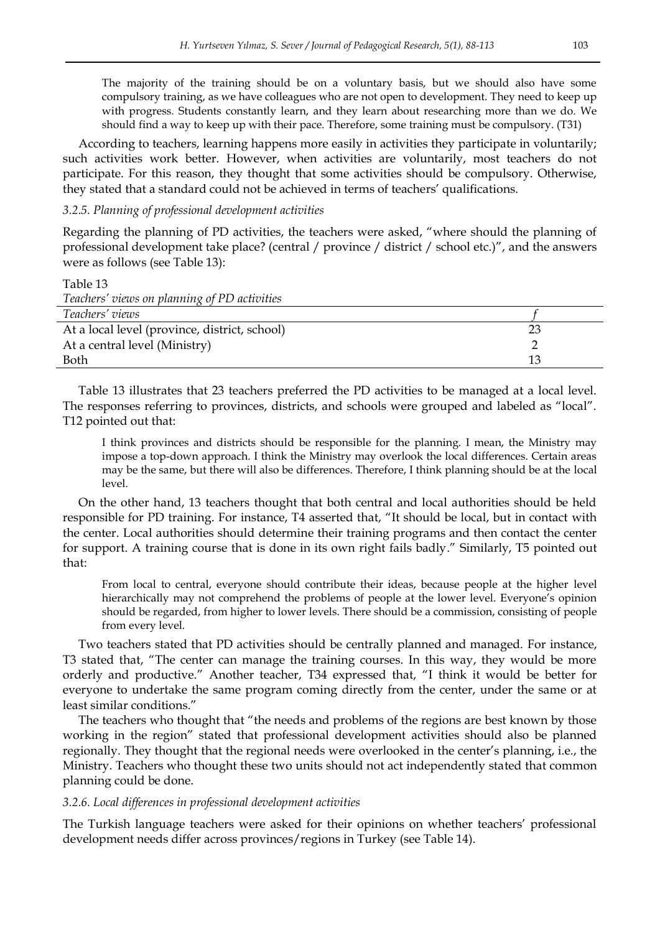The majority of the training should be on a voluntary basis, but we should also have some compulsory training, as we have colleagues who are not open to development. They need to keep up with progress. Students constantly learn, and they learn about researching more than we do. We should find a way to keep up with their pace. Therefore, some training must be compulsory. (T31)

According to teachers, learning happens more easily in activities they participate in voluntarily; such activities work better. However, when activities are voluntarily, most teachers do not participate. For this reason, they thought that some activities should be compulsory. Otherwise, they stated that a standard could not be achieved in terms of teachers" qualifications.

*3.2.5. Planning of professional development activities* 

Regarding the planning of PD activities, the teachers were asked, "where should the planning of professional development take place? (central / province / district / school etc.)", and the answers were as follows (see Table 13):

| Table 13                                      |    |
|-----------------------------------------------|----|
| Teachers' views on planning of PD activities  |    |
| Teachers' views                               |    |
| At a local level (province, district, school) | 23 |
| At a central level (Ministry)                 |    |
| Both                                          | 13 |

Table 13 illustrates that 23 teachers preferred the PD activities to be managed at a local level. The responses referring to provinces, districts, and schools were grouped and labeled as "local". T12 pointed out that:

I think provinces and districts should be responsible for the planning. I mean, the Ministry may impose a top-down approach. I think the Ministry may overlook the local differences. Certain areas may be the same, but there will also be differences. Therefore, I think planning should be at the local level.

On the other hand, 13 teachers thought that both central and local authorities should be held responsible for PD training. For instance, T4 asserted that, "It should be local, but in contact with the center. Local authorities should determine their training programs and then contact the center for support. A training course that is done in its own right fails badly." Similarly, T5 pointed out that:

From local to central, everyone should contribute their ideas, because people at the higher level hierarchically may not comprehend the problems of people at the lower level. Everyone's opinion should be regarded, from higher to lower levels. There should be a commission, consisting of people from every level.

Two teachers stated that PD activities should be centrally planned and managed. For instance, T3 stated that, "The center can manage the training courses. In this way, they would be more orderly and productive." Another teacher, T34 expressed that, "I think it would be better for everyone to undertake the same program coming directly from the center, under the same or at least similar conditions."

The teachers who thought that "the needs and problems of the regions are best known by those working in the region" stated that professional development activities should also be planned regionally. They thought that the regional needs were overlooked in the center"s planning, i.e., the Ministry. Teachers who thought these two units should not act independently stated that common planning could be done.

#### *3.2.6. Local differences in professional development activities*

The Turkish language teachers were asked for their opinions on whether teachers" professional development needs differ across provinces/regions in Turkey (see Table 14).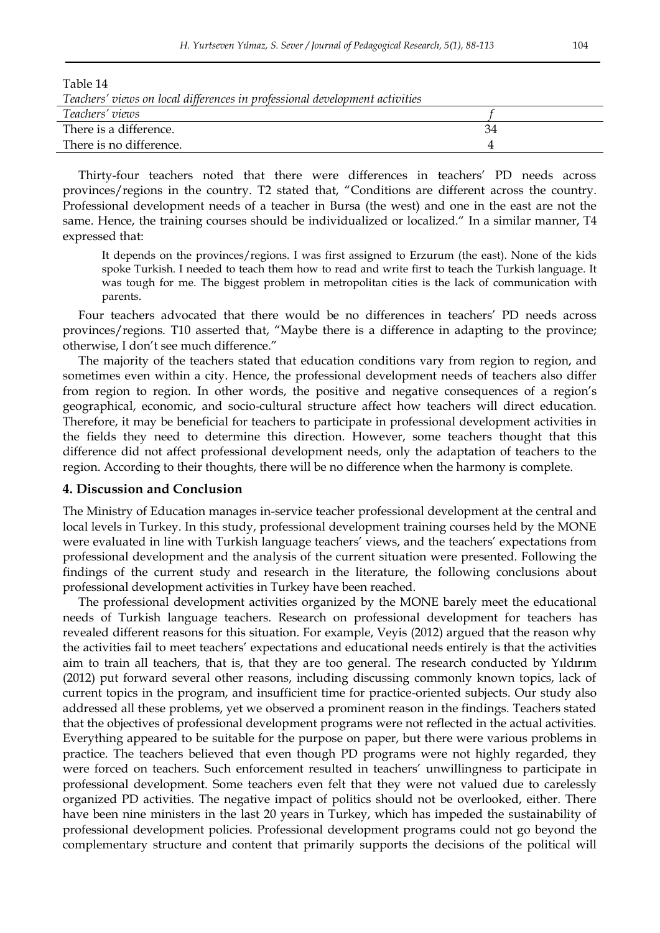| Table 14                                                                    |    |  |
|-----------------------------------------------------------------------------|----|--|
| Teachers' views on local differences in professional development activities |    |  |
| Teachers' views                                                             |    |  |
| There is a difference.                                                      | 34 |  |
| There is no difference.                                                     |    |  |
|                                                                             |    |  |

Thirty-four teachers noted that there were differences in teachers" PD needs across provinces/regions in the country. T2 stated that, "Conditions are different across the country. Professional development needs of a teacher in Bursa (the west) and one in the east are not the same. Hence, the training courses should be individualized or localized." In a similar manner, T4 expressed that:

It depends on the provinces/regions. I was first assigned to Erzurum (the east). None of the kids spoke Turkish. I needed to teach them how to read and write first to teach the Turkish language. It was tough for me. The biggest problem in metropolitan cities is the lack of communication with parents.

Four teachers advocated that there would be no differences in teachers' PD needs across provinces/regions. T10 asserted that, "Maybe there is a difference in adapting to the province; otherwise, I don"t see much difference."

The majority of the teachers stated that education conditions vary from region to region, and sometimes even within a city. Hence, the professional development needs of teachers also differ from region to region. In other words, the positive and negative consequences of a region"s geographical, economic, and socio-cultural structure affect how teachers will direct education. Therefore, it may be beneficial for teachers to participate in professional development activities in the fields they need to determine this direction. However, some teachers thought that this difference did not affect professional development needs, only the adaptation of teachers to the region. According to their thoughts, there will be no difference when the harmony is complete.

#### **4. Discussion and Conclusion**

The Ministry of Education manages in-service teacher professional development at the central and local levels in Turkey. In this study, professional development training courses held by the MONE were evaluated in line with Turkish language teachers" views, and the teachers" expectations from professional development and the analysis of the current situation were presented. Following the findings of the current study and research in the literature, the following conclusions about professional development activities in Turkey have been reached.

The professional development activities organized by the MONE barely meet the educational needs of Turkish language teachers. Research on professional development for teachers has revealed different reasons for this situation. For example, Veyis (2012) argued that the reason why the activities fail to meet teachers" expectations and educational needs entirely is that the activities aim to train all teachers, that is, that they are too general. The research conducted by Yıldırım (2012) put forward several other reasons, including discussing commonly known topics, lack of current topics in the program, and insufficient time for practice-oriented subjects. Our study also addressed all these problems, yet we observed a prominent reason in the findings. Teachers stated that the objectives of professional development programs were not reflected in the actual activities. Everything appeared to be suitable for the purpose on paper, but there were various problems in practice. The teachers believed that even though PD programs were not highly regarded, they were forced on teachers. Such enforcement resulted in teachers' unwillingness to participate in professional development. Some teachers even felt that they were not valued due to carelessly organized PD activities. The negative impact of politics should not be overlooked, either. There have been nine ministers in the last 20 years in Turkey, which has impeded the sustainability of professional development policies. Professional development programs could not go beyond the complementary structure and content that primarily supports the decisions of the political will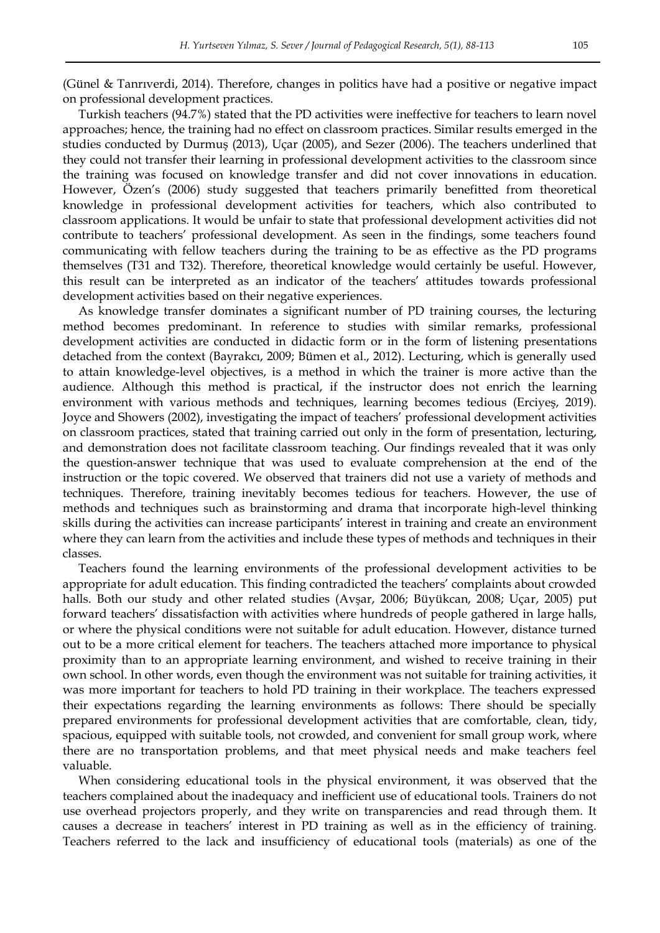(Günel & Tanrıverdi, 2014). Therefore, changes in politics have had a positive or negative impact on professional development practices.

Turkish teachers (94.7%) stated that the PD activities were ineffective for teachers to learn novel approaches; hence, the training had no effect on classroom practices. Similar results emerged in the studies conducted by Durmuş (2013), Uçar (2005), and Sezer (2006). The teachers underlined that they could not transfer their learning in professional development activities to the classroom since the training was focused on knowledge transfer and did not cover innovations in education. However, Özen"s (2006) study suggested that teachers primarily benefitted from theoretical knowledge in professional development activities for teachers, which also contributed to classroom applications. It would be unfair to state that professional development activities did not contribute to teachers" professional development. As seen in the findings, some teachers found communicating with fellow teachers during the training to be as effective as the PD programs themselves (T31 and T32). Therefore, theoretical knowledge would certainly be useful. However, this result can be interpreted as an indicator of the teachers" attitudes towards professional development activities based on their negative experiences.

As knowledge transfer dominates a significant number of PD training courses, the lecturing method becomes predominant. In reference to studies with similar remarks, professional development activities are conducted in didactic form or in the form of listening presentations detached from the context (Bayrakcı, 2009; Bümen et al., 2012). Lecturing, which is generally used to attain knowledge-level objectives, is a method in which the trainer is more active than the audience. Although this method is practical, if the instructor does not enrich the learning environment with various methods and techniques, learning becomes tedious (Erciyeş, 2019). Joyce and Showers (2002), investigating the impact of teachers' professional development activities on classroom practices, stated that training carried out only in the form of presentation, lecturing, and demonstration does not facilitate classroom teaching. Our findings revealed that it was only the question-answer technique that was used to evaluate comprehension at the end of the instruction or the topic covered. We observed that trainers did not use a variety of methods and techniques. Therefore, training inevitably becomes tedious for teachers. However, the use of methods and techniques such as brainstorming and drama that incorporate high-level thinking skills during the activities can increase participants' interest in training and create an environment where they can learn from the activities and include these types of methods and techniques in their classes.

Teachers found the learning environments of the professional development activities to be appropriate for adult education. This finding contradicted the teachers" complaints about crowded halls. Both our study and other related studies (Avşar, 2006; Büyükcan, 2008; Uçar, 2005) put forward teachers" dissatisfaction with activities where hundreds of people gathered in large halls, or where the physical conditions were not suitable for adult education. However, distance turned out to be a more critical element for teachers. The teachers attached more importance to physical proximity than to an appropriate learning environment, and wished to receive training in their own school. In other words, even though the environment was not suitable for training activities, it was more important for teachers to hold PD training in their workplace. The teachers expressed their expectations regarding the learning environments as follows: There should be specially prepared environments for professional development activities that are comfortable, clean, tidy, spacious, equipped with suitable tools, not crowded, and convenient for small group work, where there are no transportation problems, and that meet physical needs and make teachers feel valuable.

When considering educational tools in the physical environment, it was observed that the teachers complained about the inadequacy and inefficient use of educational tools. Trainers do not use overhead projectors properly, and they write on transparencies and read through them. It causes a decrease in teachers" interest in PD training as well as in the efficiency of training. Teachers referred to the lack and insufficiency of educational tools (materials) as one of the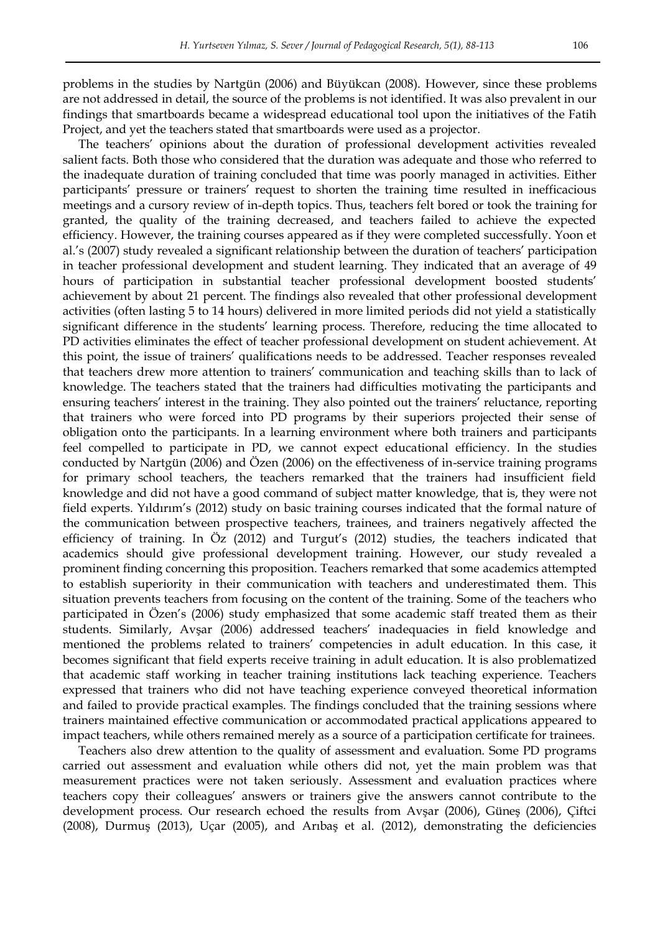problems in the studies by Nartgün (2006) and Büyükcan (2008). However, since these problems are not addressed in detail, the source of the problems is not identified. It was also prevalent in our findings that smartboards became a widespread educational tool upon the initiatives of the Fatih Project, and yet the teachers stated that smartboards were used as a projector.

The teachers" opinions about the duration of professional development activities revealed salient facts. Both those who considered that the duration was adequate and those who referred to the inadequate duration of training concluded that time was poorly managed in activities. Either participants" pressure or trainers" request to shorten the training time resulted in inefficacious meetings and a cursory review of in-depth topics. Thus, teachers felt bored or took the training for granted, the quality of the training decreased, and teachers failed to achieve the expected efficiency. However, the training courses appeared as if they were completed successfully. Yoon et al."s (2007) study revealed a significant relationship between the duration of teachers" participation in teacher professional development and student learning. They indicated that an average of 49 hours of participation in substantial teacher professional development boosted students" achievement by about 21 percent. The findings also revealed that other professional development activities (often lasting 5 to 14 hours) delivered in more limited periods did not yield a statistically significant difference in the students' learning process. Therefore, reducing the time allocated to PD activities eliminates the effect of teacher professional development on student achievement. At this point, the issue of trainers" qualifications needs to be addressed. Teacher responses revealed that teachers drew more attention to trainers" communication and teaching skills than to lack of knowledge. The teachers stated that the trainers had difficulties motivating the participants and ensuring teachers" interest in the training. They also pointed out the trainers" reluctance, reporting that trainers who were forced into PD programs by their superiors projected their sense of obligation onto the participants. In a learning environment where both trainers and participants feel compelled to participate in PD, we cannot expect educational efficiency. In the studies conducted by Nartgün (2006) and Özen (2006) on the effectiveness of in-service training programs for primary school teachers, the teachers remarked that the trainers had insufficient field knowledge and did not have a good command of subject matter knowledge, that is, they were not field experts. Yıldırım"s (2012) study on basic training courses indicated that the formal nature of the communication between prospective teachers, trainees, and trainers negatively affected the efficiency of training. In Öz (2012) and Turgut's (2012) studies, the teachers indicated that academics should give professional development training. However, our study revealed a prominent finding concerning this proposition. Teachers remarked that some academics attempted to establish superiority in their communication with teachers and underestimated them. This situation prevents teachers from focusing on the content of the training. Some of the teachers who participated in Özen"s (2006) study emphasized that some academic staff treated them as their students. Similarly, Avşar (2006) addressed teachers" inadequacies in field knowledge and mentioned the problems related to trainers' competencies in adult education. In this case, it becomes significant that field experts receive training in adult education. It is also problematized that academic staff working in teacher training institutions lack teaching experience. Teachers expressed that trainers who did not have teaching experience conveyed theoretical information and failed to provide practical examples. The findings concluded that the training sessions where trainers maintained effective communication or accommodated practical applications appeared to impact teachers, while others remained merely as a source of a participation certificate for trainees.

Teachers also drew attention to the quality of assessment and evaluation. Some PD programs carried out assessment and evaluation while others did not, yet the main problem was that measurement practices were not taken seriously. Assessment and evaluation practices where teachers copy their colleagues" answers or trainers give the answers cannot contribute to the development process. Our research echoed the results from Avşar (2006), Güneş (2006), Çiftci (2008), Durmuş (2013), Uçar (2005), and Arıbaş et al. (2012), demonstrating the deficiencies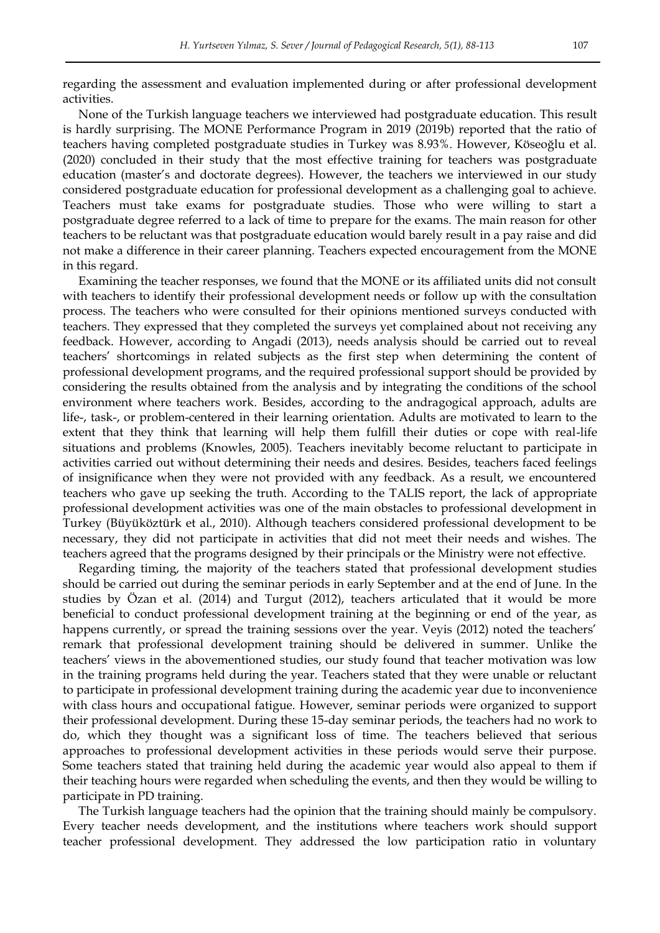regarding the assessment and evaluation implemented during or after professional development activities.

None of the Turkish language teachers we interviewed had postgraduate education. This result is hardly surprising. The MONE Performance Program in 2019 (2019b) reported that the ratio of teachers having completed postgraduate studies in Turkey was 8.93%. However, Köseoğlu et al. (2020) concluded in their study that the most effective training for teachers was postgraduate education (master's and doctorate degrees). However, the teachers we interviewed in our study considered postgraduate education for professional development as a challenging goal to achieve. Teachers must take exams for postgraduate studies. Those who were willing to start a postgraduate degree referred to a lack of time to prepare for the exams. The main reason for other teachers to be reluctant was that postgraduate education would barely result in a pay raise and did not make a difference in their career planning. Teachers expected encouragement from the MONE in this regard.

Examining the teacher responses, we found that the MONE or its affiliated units did not consult with teachers to identify their professional development needs or follow up with the consultation process. The teachers who were consulted for their opinions mentioned surveys conducted with teachers. They expressed that they completed the surveys yet complained about not receiving any feedback. However, according to Angadi (2013), needs analysis should be carried out to reveal teachers" shortcomings in related subjects as the first step when determining the content of professional development programs, and the required professional support should be provided by considering the results obtained from the analysis and by integrating the conditions of the school environment where teachers work. Besides, according to the andragogical approach, adults are life-, task-, or problem-centered in their learning orientation. Adults are motivated to learn to the extent that they think that learning will help them fulfill their duties or cope with real-life situations and problems (Knowles, 2005). Teachers inevitably become reluctant to participate in activities carried out without determining their needs and desires. Besides, teachers faced feelings of insignificance when they were not provided with any feedback. As a result, we encountered teachers who gave up seeking the truth. According to the TALIS report, the lack of appropriate professional development activities was one of the main obstacles to professional development in Turkey (Büyüköztürk et al., 2010). Although teachers considered professional development to be necessary, they did not participate in activities that did not meet their needs and wishes. The teachers agreed that the programs designed by their principals or the Ministry were not effective.

Regarding timing, the majority of the teachers stated that professional development studies should be carried out during the seminar periods in early September and at the end of June. In the studies by Özan et al. (2014) and Turgut (2012), teachers articulated that it would be more beneficial to conduct professional development training at the beginning or end of the year, as happens currently, or spread the training sessions over the year. Veyis (2012) noted the teachers' remark that professional development training should be delivered in summer. Unlike the teachers' views in the abovementioned studies, our study found that teacher motivation was low in the training programs held during the year. Teachers stated that they were unable or reluctant to participate in professional development training during the academic year due to inconvenience with class hours and occupational fatigue. However, seminar periods were organized to support their professional development. During these 15-day seminar periods, the teachers had no work to do, which they thought was a significant loss of time. The teachers believed that serious approaches to professional development activities in these periods would serve their purpose. Some teachers stated that training held during the academic year would also appeal to them if their teaching hours were regarded when scheduling the events, and then they would be willing to participate in PD training.

The Turkish language teachers had the opinion that the training should mainly be compulsory. Every teacher needs development, and the institutions where teachers work should support teacher professional development. They addressed the low participation ratio in voluntary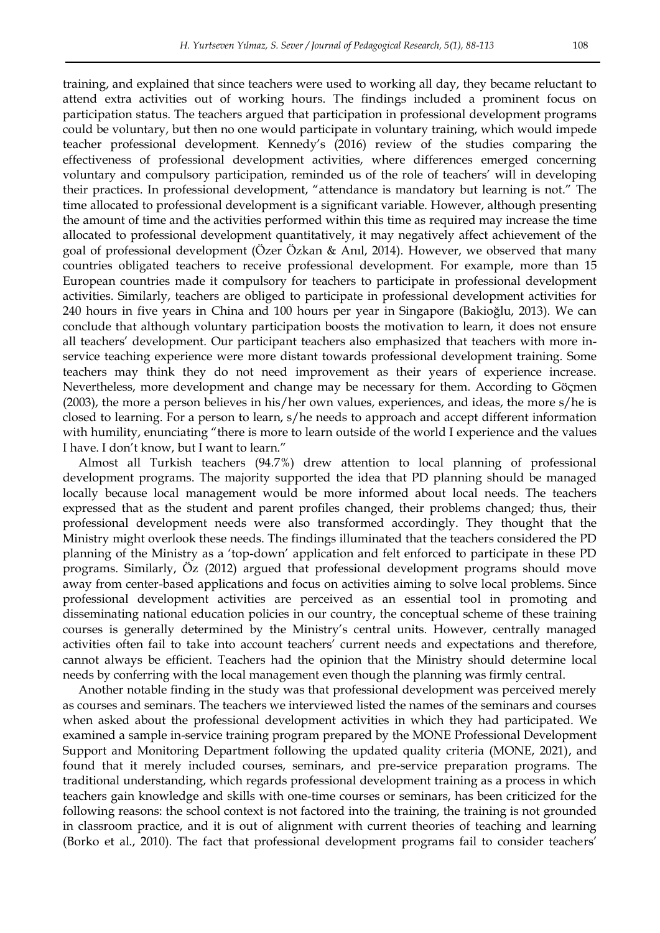training, and explained that since teachers were used to working all day, they became reluctant to attend extra activities out of working hours. The findings included a prominent focus on participation status. The teachers argued that participation in professional development programs could be voluntary, but then no one would participate in voluntary training, which would impede teacher professional development. Kennedy"s (2016) review of the studies comparing the effectiveness of professional development activities, where differences emerged concerning voluntary and compulsory participation, reminded us of the role of teachers' will in developing their practices. In professional development, "attendance is mandatory but learning is not." The time allocated to professional development is a significant variable. However, although presenting the amount of time and the activities performed within this time as required may increase the time allocated to professional development quantitatively, it may negatively affect achievement of the goal of professional development (Özer Özkan & Anıl, 2014). However, we observed that many countries obligated teachers to receive professional development. For example, more than 15 European countries made it compulsory for teachers to participate in professional development activities. Similarly, teachers are obliged to participate in professional development activities for 240 hours in five years in China and 100 hours per year in Singapore (Bakioğlu, 2013). We can conclude that although voluntary participation boosts the motivation to learn, it does not ensure all teachers" development. Our participant teachers also emphasized that teachers with more inservice teaching experience were more distant towards professional development training. Some teachers may think they do not need improvement as their years of experience increase. Nevertheless, more development and change may be necessary for them. According to Göçmen (2003), the more a person believes in his/her own values, experiences, and ideas, the more s/he is closed to learning. For a person to learn, s/he needs to approach and accept different information with humility, enunciating "there is more to learn outside of the world I experience and the values I have. I don"t know, but I want to learn."

Almost all Turkish teachers (94.7%) drew attention to local planning of professional development programs. The majority supported the idea that PD planning should be managed locally because local management would be more informed about local needs. The teachers expressed that as the student and parent profiles changed, their problems changed; thus, their professional development needs were also transformed accordingly. They thought that the Ministry might overlook these needs. The findings illuminated that the teachers considered the PD planning of the Ministry as a "top-down" application and felt enforced to participate in these PD programs. Similarly, Öz (2012) argued that professional development programs should move away from center-based applications and focus on activities aiming to solve local problems. Since professional development activities are perceived as an essential tool in promoting and disseminating national education policies in our country, the conceptual scheme of these training courses is generally determined by the Ministry"s central units. However, centrally managed activities often fail to take into account teachers" current needs and expectations and therefore, cannot always be efficient. Teachers had the opinion that the Ministry should determine local needs by conferring with the local management even though the planning was firmly central.

Another notable finding in the study was that professional development was perceived merely as courses and seminars. The teachers we interviewed listed the names of the seminars and courses when asked about the professional development activities in which they had participated. We examined a sample in-service training program prepared by the MONE Professional Development Support and Monitoring Department following the updated quality criteria (MONE, 2021), and found that it merely included courses, seminars, and pre-service preparation programs. The traditional understanding, which regards professional development training as a process in which teachers gain knowledge and skills with one-time courses or seminars, has been criticized for the following reasons: the school context is not factored into the training, the training is not grounded in classroom practice, and it is out of alignment with current theories of teaching and learning (Borko et al., 2010). The fact that professional development programs fail to consider teachers"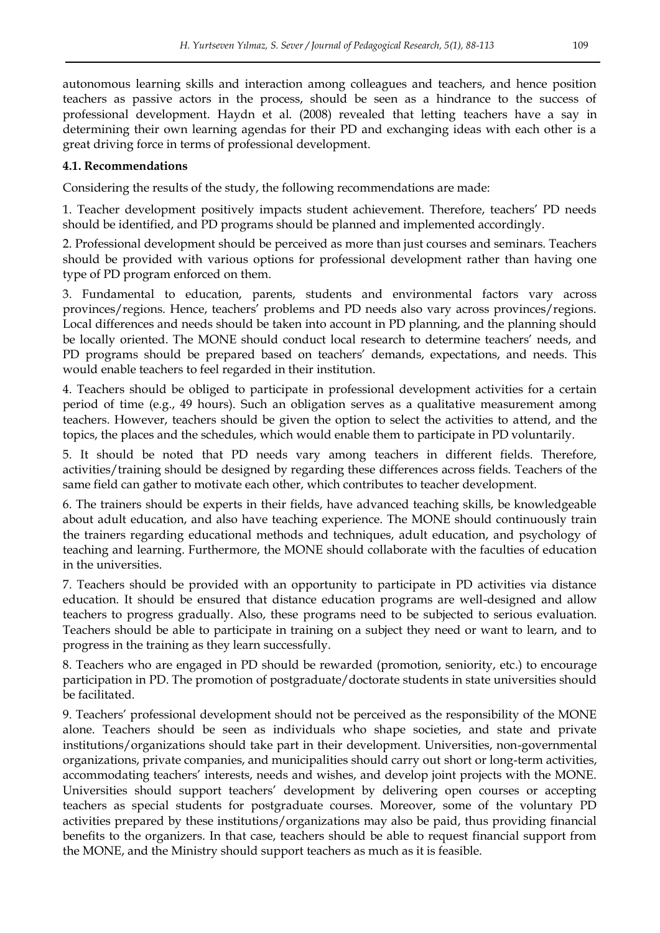autonomous learning skills and interaction among colleagues and teachers, and hence position teachers as passive actors in the process, should be seen as a hindrance to the success of professional development. Haydn et al. (2008) revealed that letting teachers have a say in determining their own learning agendas for their PD and exchanging ideas with each other is a great driving force in terms of professional development.

## **4.1. Recommendations**

Considering the results of the study, the following recommendations are made:

1. Teacher development positively impacts student achievement. Therefore, teachers" PD needs should be identified, and PD programs should be planned and implemented accordingly.

2. Professional development should be perceived as more than just courses and seminars. Teachers should be provided with various options for professional development rather than having one type of PD program enforced on them.

3. Fundamental to education, parents, students and environmental factors vary across provinces/regions. Hence, teachers" problems and PD needs also vary across provinces/regions. Local differences and needs should be taken into account in PD planning, and the planning should be locally oriented. The MONE should conduct local research to determine teachers' needs, and PD programs should be prepared based on teachers" demands, expectations, and needs. This would enable teachers to feel regarded in their institution.

4. Teachers should be obliged to participate in professional development activities for a certain period of time (e.g., 49 hours). Such an obligation serves as a qualitative measurement among teachers. However, teachers should be given the option to select the activities to attend, and the topics, the places and the schedules, which would enable them to participate in PD voluntarily.

5. It should be noted that PD needs vary among teachers in different fields. Therefore, activities/training should be designed by regarding these differences across fields. Teachers of the same field can gather to motivate each other, which contributes to teacher development.

6. The trainers should be experts in their fields, have advanced teaching skills, be knowledgeable about adult education, and also have teaching experience. The MONE should continuously train the trainers regarding educational methods and techniques, adult education, and psychology of teaching and learning. Furthermore, the MONE should collaborate with the faculties of education in the universities.

7. Teachers should be provided with an opportunity to participate in PD activities via distance education. It should be ensured that distance education programs are well-designed and allow teachers to progress gradually. Also, these programs need to be subjected to serious evaluation. Teachers should be able to participate in training on a subject they need or want to learn, and to progress in the training as they learn successfully.

8. Teachers who are engaged in PD should be rewarded (promotion, seniority, etc.) to encourage participation in PD. The promotion of postgraduate/doctorate students in state universities should be facilitated.

9. Teachers" professional development should not be perceived as the responsibility of the MONE alone. Teachers should be seen as individuals who shape societies, and state and private institutions/organizations should take part in their development. Universities, non-governmental organizations, private companies, and municipalities should carry out short or long-term activities, accommodating teachers" interests, needs and wishes, and develop joint projects with the MONE. Universities should support teachers' development by delivering open courses or accepting teachers as special students for postgraduate courses. Moreover, some of the voluntary PD activities prepared by these institutions/organizations may also be paid, thus providing financial benefits to the organizers. In that case, teachers should be able to request financial support from the MONE, and the Ministry should support teachers as much as it is feasible.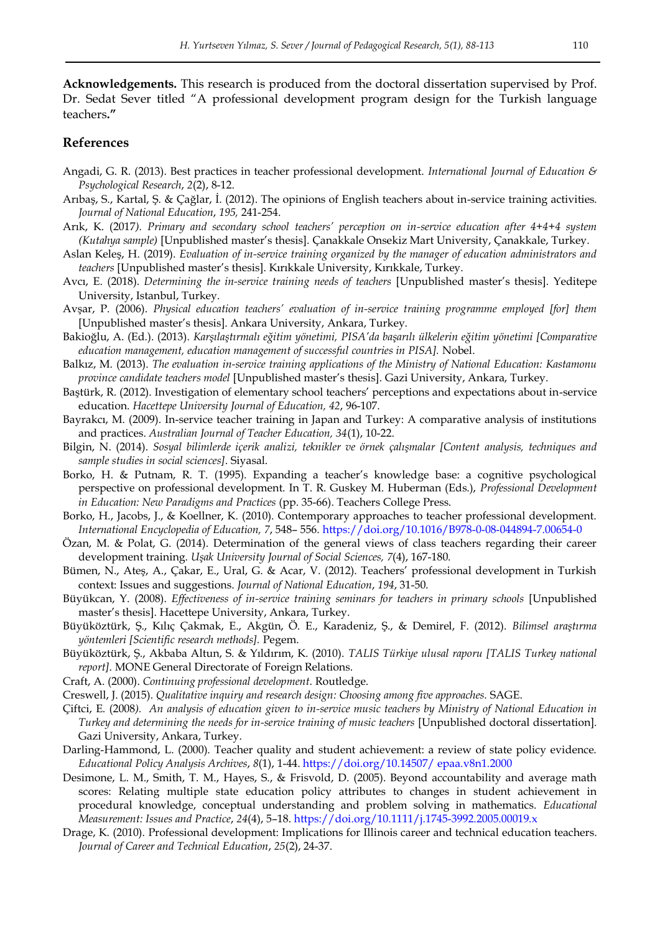**Acknowledgements.** This research is produced from the doctoral dissertation supervised by Prof. Dr. Sedat Sever titled "A professional development program design for the Turkish language teachers**."**

#### **References**

- Angadi, G. R. (2013). Best practices in teacher professional development. *International Journal of Education & Psychological Research*, *2*(2), 8-12.
- Arıbaş, S., Kartal, Ş. & Çağlar, İ. (2012). The opinions of English teachers about in-service training activities. *Journal of National Education*, *195,* 241-254.
- Arık, K. (2017*). Primary and secondary school teachers' perception on in-service education after 4+4+4 system (Kutahya sample)* [Unpublished master"s thesis]. Çanakkale Onsekiz Mart University, Çanakkale, Turkey.
- Aslan Keleş, H. (2019). *Evaluation of in-service training organized by the manager of education administrators and teachers* [Unpublished master"s thesis]. Kırıkkale University, Kırıkkale, Turkey.
- Avcı, E. (2018). *Determining the in-service training needs of teachers* [Unpublished master's thesis]. Yeditepe University, Istanbul, Turkey.
- Avşar, P. (2006). *Physical education teachers' evaluation of in-service training programme employed [for] them*  [Unpublished master"s thesis]. Ankara University, Ankara, Turkey.
- Bakioğlu, A. (Ed.). (2013). *Karşılaştırmalı eğitim yönetimi, PISA'da başarılı ülkelerin eğitim yönetimi [Comparative education management, education management of successful countries in PISA].* Nobel.
- Balkız, M. (2013). *The evaluation in-service training applications of the Ministry of National Education: Kastamonu province candidate teachers model* [Unpublished master"s thesis]. Gazi University, Ankara, Turkey.
- Baştürk, R. (2012). Investigation of elementary school teachers" perceptions and expectations about in-service education. *Hacettepe University Journal of Education, 42*, 96-107.
- Bayrakcı, M. (2009). In-service teacher training in Japan and Turkey: A comparative analysis of institutions and practices. *Australian Journal of Teacher Education, 34*(1), 10-22.
- Bilgin, N. (2014). *Sosyal bilimlerde içerik analizi, teknikler ve örnek çalışmalar [Content analysis, techniques and sample studies in social sciences]*. Siyasal.
- Borko, H. & Putnam, R. T. (1995). Expanding a teacher"s knowledge base: a cognitive psychological perspective on professional development. In T. R. Guskey M. Huberman (Eds.), *Professional Development in Education: New Paradigms and Practices* (pp. 35-66). Teachers College Press.
- Borko, H., Jacobs, J., & Koellner, K. (2010). Contemporary approaches to teacher professional development. *International Encyclopedia of Education, 7*, 548– 556.<https://doi.org/10.1016/B978-0-08-044894-7.00654-0>
- Özan, M. & Polat, G. (2014). Determination of the general views of class teachers regarding their career development training. *Uşak University Journal of Social Sciences, 7*(4), 167-180.
- Bümen, N., Ateş, A., Çakar, E., Ural, G. & Acar, V. (2012). Teachers" professional development in Turkish context: Issues and suggestions. *Journal of National Education*, *194*, 31-50.
- Büyükcan, Y. (2008). *Effectiveness of in-service training seminars for teachers in primary schools* [Unpublished master"s thesis]. Hacettepe University, Ankara, Turkey.
- Büyüköztürk, Ş., Kılıç Çakmak, E., Akgün, Ö. E., Karadeniz, Ş., & Demirel, F. (2012). *Bilimsel araştırma yöntemleri [Scientific research methods].* Pegem.
- Büyüköztürk, Ş., Akbaba Altun, S. & Yıldırım, K. (2010). *TALIS Türkiye ulusal raporu [TALIS Turkey national report]*. MONE General Directorate of Foreign Relations.
- Craft, A. (2000). *Continuing professional development*. Routledge.
- Creswell, J. (2015). *Qualitative inquiry and research design: Choosing among five approaches.* SAGE.
- Çiftci, E. (2008*). An analysis of education given to in-service music teachers by Ministry of National Education in Turkey and determining the needs for in-service training of music teachers [Unpublished doctoral dissertation].* Gazi University, Ankara, Turkey.
- Darling-Hammond, L. (2000). Teacher quality and student achievement: a review of state policy evidence. *Educational Policy Analysis Archives*, *8*(1), 1-44. [https://doi.org/10.14507/ epaa.v8n1.2000](https://doi.org/10.14507/%20epaa.v8n1.2000)
- Desimone, L. M., Smith, T. M., Hayes, S., & Frisvold, D. (2005). Beyond accountability and average math scores: Relating multiple state education policy attributes to changes in student achievement in procedural knowledge, conceptual understanding and problem solving in mathematics. *Educational Measurement: Issues and Practice*, *24*(4), 5–18.<https://doi.org/10.1111/j.1745-3992.2005.00019.x>
- Drage, K. (2010). Professional development: Implications for Illinois career and technical education teachers. *Journal of Career and Technical Education*, *25*(2), 24-37.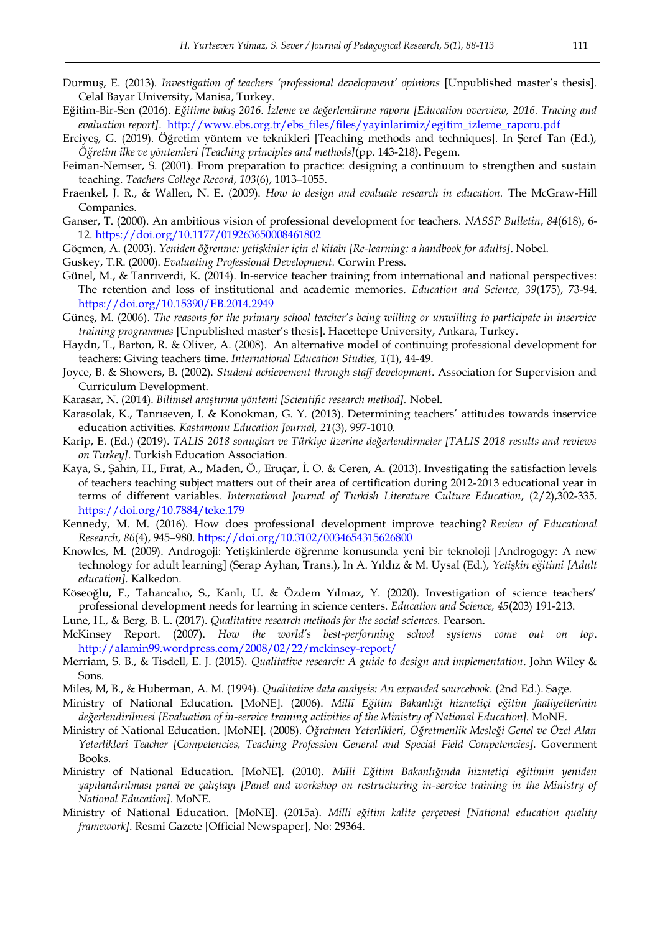- Durmuş, E. (2013). *Investigation of teachers 'professional development' opinions* [Unpublished master's thesis]. Celal Bayar University, Manisa, Turkey.
- Eğitim-Bir-Sen (2016). *Eğitime bakış 2016. İzleme ve değerlendirme raporu [Education overview, 2016. Tracing and evaluation report]*. [http://www.ebs.org.tr/ebs\\_files/files/yayinlarimiz/egitim\\_izleme\\_raporu.pdf](http://www.ebs.org.tr/ebs_files/files/yayinlarimiz/egitim_izleme_raporu.pdf)
- Erciyeş, G. (2019). Öğretim yöntem ve teknikleri [Teaching methods and techniques]. In Şeref Tan (Ed.), *Öğretim ilke ve yöntemleri [Teaching principles and methods]*(pp. 143-218). Pegem.
- Feiman-Nemser, S. (2001). From preparation to practice: designing a continuum to strengthen and sustain teaching. *Teachers College Record*, *103*(6), 1013–1055.
- Fraenkel, J. R., & Wallen, N. E. (2009). *How to design and evaluate research in education.* The McGraw-Hill Companies.
- Ganser, T. (2000). An ambitious vision of professional development for teachers. *NASSP Bulletin*, *84*(618), 6- 12.<https://doi.org/10.1177/019263650008461802>
- Göçmen, A. (2003). *Yeniden öğrenme: yetişkinler için el kitabı [Re-learning: a handbook for adults]*. Nobel.
- Guskey, T.R. (2000). *Evaluating Professional Development.* Corwin Press.
- Günel, M., & Tanrıverdi, K. (2014). In-service teacher training from international and national perspectives: The retention and loss of institutional and academic memories. *Education and Science, 39*(175), 73-94. <https://doi.org/10.15390/EB.2014.2949>
- Güneş, M. (2006). *The reasons for the primary school teacher's being willing or unwilling to participate in inservice training programmes* [Unpublished master"s thesis]. Hacettepe University, Ankara, Turkey.
- Haydn, T., Barton, R. & Oliver, A. (2008). An alternative model of continuing professional development for teachers: Giving teachers time. *International Education Studies, 1*(1), 44-49.
- Joyce, B. & Showers, B. (2002). *Student achievement through staff development*. Association for Supervision and Curriculum Development.
- Karasar, N. (2014). *Bilimsel araştırma yöntemi [Scientific research method].* Nobel.
- Karasolak, K., Tanrıseven, I. & Konokman, G. Y. (2013). Determining teachers" attitudes towards inservice education activities*. Kastamonu Education Journal, 21*(3), 997-1010.
- Karip, E. (Ed.) (2019). *TALIS 2018 sonuçları ve Türkiye üzerine değerlendirmeler [TALIS 2018 results and reviews on Turkey]*. Turkish Education Association.
- Kaya, S., Şahin, H., Fırat, A., Maden, Ö., Eruçar, İ. O. & Ceren, A. (2013). Investigating the satisfaction levels of teachers teaching subject matters out of their area of certification during 2012-2013 educational year in terms of different variables. *International Journal of Turkish Literature Culture Education*, (2/2),302-335. <https://doi.org/10.7884/teke.179>
- Kennedy, M. M. (2016). How does professional development improve teaching? *Review of Educational Research*, *86*(4), 945–980.<https://doi.org/10.3102/0034654315626800>
- Knowles, M. (2009). Androgoji: Yetişkinlerde öğrenme konusunda yeni bir teknoloji [Androgogy: A new technology for adult learning] (Serap Ayhan, Trans.), In A. Yıldız & M. Uysal (Ed.), *Yetişkin eğitimi [Adult education].* Kalkedon.
- Köseoğlu, F., Tahancalıo, S., Kanlı, U. & Özdem Yılmaz, Y. (2020). Investigation of science teachers" professional development needs for learning in science centers. *Education and Science, 45*(203) 191-213.
- Lune, H., & Berg, B. L. (2017). *Qualitative research methods for the social sciences.* Pearson.
- McKinsey Report. (2007). *How the world's best-performing school systems come out on top*. <http://alamin99.wordpress.com/2008/02/22/mckinsey-report/>
- Merriam, S. B., & Tisdell, E. J. (2015). *Qualitative research: A guide to design and implementation*. John Wiley & Sons.
- Miles, M, B., & Huberman, A. M. (1994). *Qualitative data analysis: An expanded sourcebook*. (2nd Ed.). Sage.
- Ministry of National Education. [MoNE]. (2006). *Millî Eğitim Bakanlığı hizmetiçi eğitim faaliyetlerinin değerlendirilmesi [Evaluation of in-service training activities of the Ministry of National Education].* MoNE.
- Ministry of National Education. [MoNE]. (2008). *Öğretmen Yeterlikleri, Öğretmenlik Mesleği Genel ve Özel Alan Yeterlikleri Teacher [Competencies, Teaching Profession General and Special Field Competencies].* Goverment Books.
- Ministry of National Education. [MoNE]. (2010). *Milli Eğitim Bakanlığında hizmetiçi eğitimin yeniden yapılandırılması panel ve çalıştayı [Panel and workshop on restructuring in-service training in the Ministry of National Education]*. MoNE.
- Ministry of National Education. [MoNE]. (2015a). *Milli eğitim kalite çerçevesi [National education quality framework]*. Resmi Gazete [Official Newspaper], No: 29364.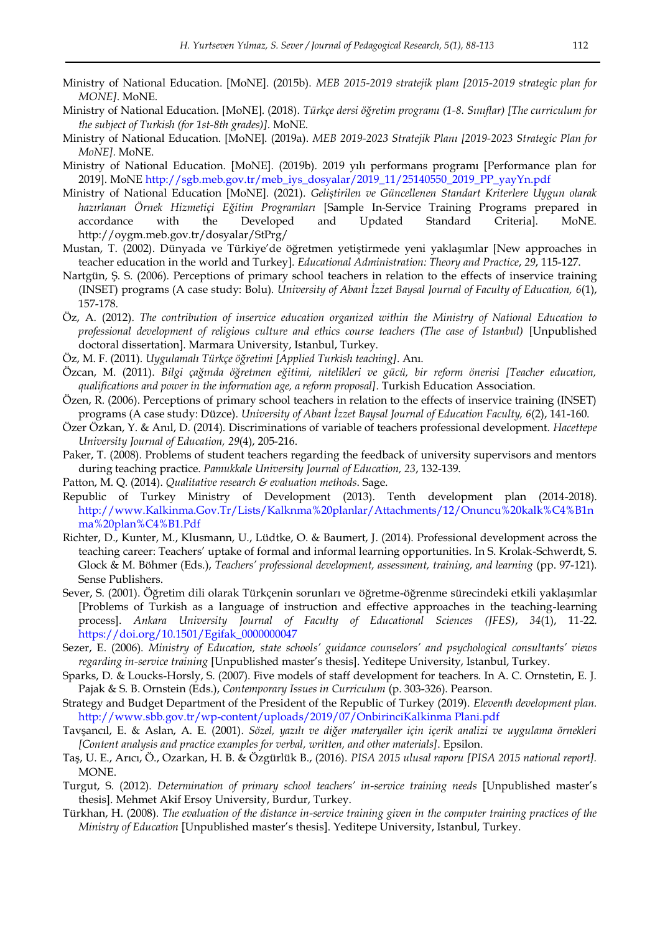- Ministry of National Education. [MoNE]. (2015b). *MEB 2015-2019 stratejik planı [2015-2019 strategic plan for MONE]*. MoNE.
- Ministry of National Education. [MoNE]. (2018). *Türkçe dersi öğretim programı (1-8. Sınıflar) [The curriculum for the subject of Turkish (for 1st-8th grades)]*. MoNE.
- Ministry of National Education. [MoNE]. (2019a). *MEB 2019-2023 Stratejik Planı [2019-2023 Strategic Plan for MoNE].* MoNE.
- Ministry of National Education. [MoNE]. (2019b). 2019 yılı performans programı [Performance plan for 2019]. MoNE [http://sgb.meb.gov.tr/meb\\_iys\\_dosyalar/2019\\_11/25140550\\_2019\\_PP\\_yayYn.pdf](http://sgb.meb.gov.tr/meb_iys_dosyalar/2019_11/25140550_2019_PP_yayYn.pdf)
- Ministry of National Education [MoNE]. (2021). *Geliştirilen ve Güncellenen Standart Kriterlere Uygun olarak hazırlanan Örnek Hizmetiçi Eğitim Programları* [Sample In-Service Training Programs prepared in accordance with the Developed and Updated Standard Criteria]. MoNE. <http://oygm.meb.gov.tr/dosyalar/StPrg/>
- Mustan, T. (2002). Dünyada ve Türkiye"de öğretmen yetiştirmede yeni yaklaşımlar [New approaches in teacher education in the world and Turkey]. *Educational Administration: Theory and Practice*, *29*, 115-127.
- Nartgün, Ş. S. (2006). Perceptions of primary school teachers in relation to the effects of inservice training (INSET) programs (A case study: Bolu). *University of Abant İzzet Baysal Journal of Faculty of Education, 6*(1), 157-178.
- Öz, A. (2012). *The contribution of inservice education organized within the Ministry of National Education to professional development of religious culture and ethics course teachers (The case of Istanbul)* [Unpublished doctoral dissertation]. Marmara University, Istanbul, Turkey.
- Öz, M. F. (2011). *Uygulamalı Türkçe öğretimi [Applied Turkish teaching]*. Anı.
- Özcan, M. (2011). *Bilgi çağında öğretmen eğitimi, nitelikleri ve gücü, bir reform önerisi [Teacher education, qualifications and power in the information age, a reform proposal]*. Turkish Education Association.
- Özen, R. (2006). Perceptions of primary school teachers in relation to the effects of inservice training (INSET) programs (A case study: Düzce). *University of Abant İzzet Baysal Journal of Education Faculty, 6*(2), 141-160.
- Özer Özkan, Y. & Anıl, D. (2014). Discriminations of variable of teachers professional development. *Hacettepe University Journal of Education, 29*(4), 205-216.
- Paker, T. (2008). Problems of student teachers regarding the feedback of university supervisors and mentors during teaching practice. *Pamukkale University Journal of Education, 23*, 132-139.
- Patton, M. Q. (2014). *Qualitative research & evaluation methods*. Sage.
- Republic of Turkey Ministry of Development (2013). Tenth development plan (2014-2018). [http://www.Kalkinma.Gov.Tr/Lists/Kalknma%20planlar/Attachments/12/Onuncu%20kalk%C4%B1n](http://www.kalkinma.gov.tr/Lists/Kalknma%20planlar/Attachments/12/Onuncu%20kalk%C4%B1nma%20plan%C4%B1.Pdf) [ma%20plan%C4%B1.Pdf](http://www.kalkinma.gov.tr/Lists/Kalknma%20planlar/Attachments/12/Onuncu%20kalk%C4%B1nma%20plan%C4%B1.Pdf)
- Richter, D., Kunter, M., Klusmann, U., Lüdtke, O. & Baumert, J. (2014). Professional development across the teaching career: Teachers" uptake of formal and informal learning opportunities. In S. Krolak-Schwerdt, S. Glock & M. Böhmer (Eds.), *Teachers' professional development, assessment, training, and learning* (pp. 97-121). Sense Publishers.
- Sever, S. (2001). Öğretim dili olarak Türkçenin sorunları ve öğretme-öğrenme sürecindeki etkili yaklaşımlar [Problems of Turkish as a language of instruction and effective approaches in the teaching-learning process]. *Ankara University Journal of Faculty of Educational Sciences (JFES)*, *34*(1), 11-22. [https://doi.org/10.1501/Egifak\\_0000000047](https://doi.org/10.1501/Egifak_0000000047)
- Sezer, E. (2006). *Ministry of Education, state schools' guidance counselors' and psychological consultants' views regarding in-service training* [Unpublished master"s thesis]. Yeditepe University, Istanbul, Turkey.
- Sparks, D. & Loucks-Horsly, S. (2007). Five models of staff development for teachers. In A. C. Ornstetin, E. J. Pajak & S. B. Ornstein (Eds.), *Contemporary Issues in Curriculum* (p. 303-326). Pearson.
- Strategy and Budget Department of the President of the Republic of Turkey (2019). *Eleventh development plan.*  [http://www.sbb.gov.tr/wp-content/uploads/2019/07/OnbirinciKalkinma Plani.pdf](http://www.sbb.gov.tr/wp-content/uploads/2019/07/OnbirinciKalkinma%20Plani.pdf)
- Tavşancıl, E. & Aslan, A. E. (2001). *Sözel, yazılı ve diğer materyaller için içerik analizi ve uygulama örnekleri [Content analysis and practice examples for verbal, written, and other materials]*. Epsilon.
- Taş, U. E., Arıcı, Ö., Ozarkan, H. B. & Özgürlük B., (2016). *PISA 2015 ulusal raporu [PISA 2015 national report].* MONE.
- Turgut, S. (2012). *Determination of primary school teachers' in-service training needs* [Unpublished master"s thesis]. Mehmet Akif Ersoy University, Burdur, Turkey.
- Türkhan, H. (2008). *The evaluation of the distance in-service training given in the computer training practices of the Ministry of Education* [Unpublished master"s thesis]. Yeditepe University, Istanbul, Turkey.